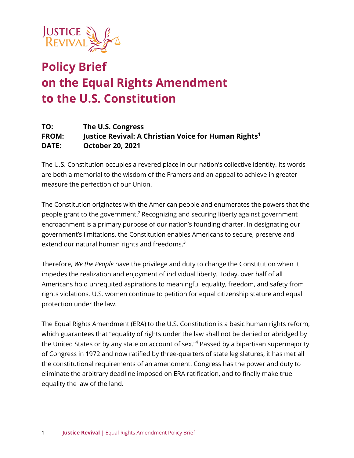

# **Policy Brief on the Equal Rights Amendment to the U.S. Constitution**

#### **TO: The U.S. Congress FROM: Justice Revival: A Christian Voice for Human Rights<sup>1</sup> DATE: October 20, 2021**

The U.S. Constitution occupies a revered place in our nation's collective identity. Its words are both a memorial to the wisdom of the Framers and an appeal to achieve in greater measure the perfection of our Union.

The Constitution originates with the American people and enumerates the powers that the people grant to the government.<sup>2</sup> Recognizing and securing liberty against government encroachment is a primary purpose of our nation's founding charter. In designating our government's limitations, the Constitution enables Americans to secure, preserve and extend our natural human rights and freedoms.<sup>3</sup>

Therefore, *We the People* have the privilege and duty to change the Constitution when it impedes the realization and enjoyment of individual liberty. Today, over half of all Americans hold unrequited aspirations to meaningful equality, freedom, and safety from rights violations. U.S. women continue to petition for equal citizenship stature and equal protection under the law.

The Equal Rights Amendment (ERA) to the U.S. Constitution is a basic human rights reform, which guarantees that "equality of rights under the law shall not be denied or abridged by the United States or by any state on account of sex."<sup>4</sup> Passed by a bipartisan supermajority of Congress in 1972 and now ratified by three-quarters of state legislatures, it has met all the constitutional requirements of an amendment. Congress has the power and duty to eliminate the arbitrary deadline imposed on ERA ratification, and to finally make true equality the law of the land.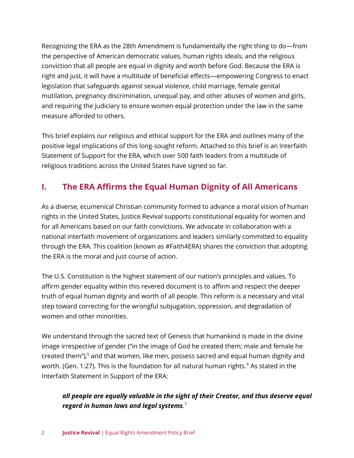Recognizing the ERA as the 28th Amendment is fundamentally the right thing to do—from the perspective of American democratic values, human rights ideals, and the religious conviction that all people are equal in dignity and worth before God. Because the ERA is right and just, it will have a multitude of beneficial effects—empowering Congress to enact legislation that safeguards against sexual violence, child marriage, female genital mutilation, pregnancy discrimination, unequal pay, and other abuses of women and girls, and requiring the judiciary to ensure women equal protection under the law in the same measure afforded to others.

This brief explains our religious and ethical support for the ERA and outlines many of the positive legal implications of this long-sought reform. Attached to this brief is an Interfaith Statement of Support for the ERA, which over 500 faith leaders from a multitude of religious traditions across the United States have signed so far.

# **I. The ERA Affirms the Equal Human Dignity of All Americans**

As a diverse, ecumenical Christian community formed to advance a moral vision of human rights in the United States, Justice Revival supports constitutional equality for women and for all Americans based on our faith convictions. We advocate in collaboration with a national interfaith movement of organizations and leaders similarly committed to equality through the ERA. This coalition (known as #Faith4ERA) shares the conviction that adopting the ERA is the moral and just course of action.

The U.S. Constitution is the highest statement of our nation's principles and values. To affirm gender equality within this revered document is to affirm and respect the deeper truth of equal human dignity and worth of all people. This reform is a necessary and vital step toward correcting for the wrongful subjugation, oppression, and degradation of women and other minorities.

We understand through the sacred text of Genesis that humankind is made in the divine image irrespective of gender ("in the image of God he created them; male and female he created them"),<sup>5</sup> and that women, like men, possess sacred and equal human dignity and worth. (Gen. 1:27). This is the foundation for all natural human rights. $6$  As stated in the Interfaith Statement in Support of the ERA:

#### *all people are equally valuable in the sight of their Creator, and thus deserve equal regard in human laws and legal systems.* 7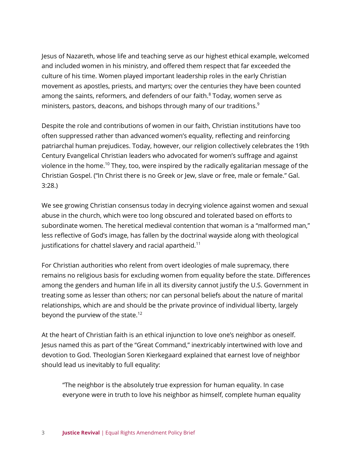Jesus of Nazareth, whose life and teaching serve as our highest ethical example, welcomed and included women in his ministry, and offered them respect that far exceeded the culture of his time. Women played important leadership roles in the early Christian movement as apostles, priests, and martyrs; over the centuries they have been counted among the saints, reformers, and defenders of our faith. $8$  Today, women serve as ministers, pastors, deacons, and bishops through many of our traditions.<sup>9</sup>

Despite the role and contributions of women in our faith, Christian institutions have too often suppressed rather than advanced women's equality, reflecting and reinforcing patriarchal human prejudices. Today, however, our religion collectively celebrates the 19th Century Evangelical Christian leaders who advocated for women's suffrage and against violence in the home.<sup>10</sup> They, too, were inspired by the radically egalitarian message of the Christian Gospel. ("In Christ there is no Greek or Jew, slave or free, male or female." Gal. 3:28.)

We see growing Christian consensus today in decrying violence against women and sexual abuse in the church, which were too long obscured and tolerated based on efforts to subordinate women. The heretical medieval contention that woman is a "malformed man," less reflective of God's image, has fallen by the doctrinal wayside along with theological justifications for chattel slavery and racial apartheid.<sup>11</sup>

For Christian authorities who relent from overt ideologies of male supremacy, there remains no religious basis for excluding women from equality before the state. Differences among the genders and human life in all its diversity cannot justify the U.S. Government in treating some as lesser than others; nor can personal beliefs about the nature of marital relationships, which are and should be the private province of individual liberty, largely beyond the purview of the state.<sup>12</sup>

At the heart of Christian faith is an ethical injunction to love one's neighbor as oneself. Jesus named this as part of the "Great Command," inextricably intertwined with love and devotion to God. Theologian Soren Kierkegaard explained that earnest love of neighbor should lead us inevitably to full equality:

"The neighbor is the absolutely true expression for human equality. In case everyone were in truth to love his neighbor as himself, complete human equality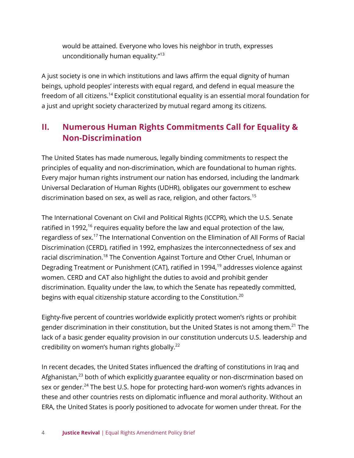would be attained. Everyone who loves his neighbor in truth, expresses unconditionally human equality."<sup>13</sup>

A just society is one in which institutions and laws affirm the equal dignity of human beings, uphold peoples' interests with equal regard, and defend in equal measure the freedom of all citizens.<sup>14</sup> Explicit constitutional equality is an essential moral foundation for a just and upright society characterized by mutual regard among its citizens.

## **II. Numerous Human Rights Commitments Call for Equality & Non-Discrimination**

The United States has made numerous, legally binding commitments to respect the principles of equality and non-discrimination, which are foundational to human rights. Every major human rights instrument our nation has endorsed, including the landmark Universal Declaration of Human Rights (UDHR), obligates our government to eschew discrimination based on sex, as well as race, religion, and other factors.<sup>15</sup>

The International Covenant on Civil and Political Rights (ICCPR), which the U.S. Senate ratified in 1992,<sup>16</sup> requires equality before the law and equal protection of the law, regardless of sex.<sup>17</sup> The International Convention on the Elimination of All Forms of Racial Discrimination (CERD), ratified in 1992, emphasizes the interconnectedness of sex and racial discrimination.<sup>18</sup> The Convention Against Torture and Other Cruel, Inhuman or Degrading Treatment or Punishment (CAT), ratified in 1994,<sup>19</sup> addresses violence against women. CERD and CAT also highlight the duties to avoid and prohibit gender discrimination. Equality under the law, to which the Senate has repeatedly committed, begins with equal citizenship stature according to the Constitution.<sup>20</sup>

Eighty-five percent of countries worldwide explicitly protect women's rights or prohibit gender discrimination in their constitution, but the United States is not among them.<sup>21</sup> The lack of a basic gender equality provision in our constitution undercuts U.S. leadership and credibility on women's human rights globally. $^{22}$ 

In recent decades, the United States influenced the drafting of constitutions in Iraq and Afghanistan,<sup>23</sup> both of which explicitly guarantee equality or non-discrmination based on sex or gender.<sup>24</sup> The best U.S. hope for protecting hard-won women's rights advances in these and other countries rests on diplomatic influence and moral authority. Without an ERA, the United States is poorly positioned to advocate for women under threat. For the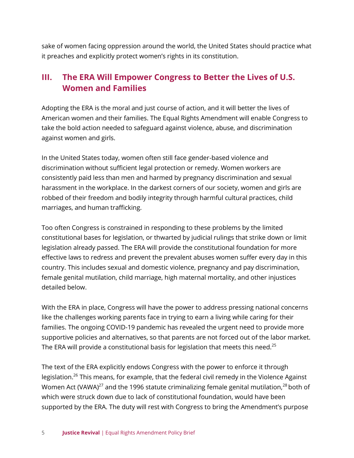sake of women facing oppression around the world, the United States should practice what it preaches and explicitly protect women's rights in its constitution.

## **III. The ERA Will Empower Congress to Better the Lives of U.S. Women and Families**

Adopting the ERA is the moral and just course of action, and it will better the lives of American women and their families. The Equal Rights Amendment will enable Congress to take the bold action needed to safeguard against violence, abuse, and discrimination against women and girls.

In the United States today, women often still face gender-based violence and discrimination without sufficient legal protection or remedy. Women workers are consistently paid less than men and harmed by pregnancy discrimination and sexual harassment in the workplace. In the darkest corners of our society, women and girls are robbed of their freedom and bodily integrity through harmful cultural practices, child marriages, and human trafficking.

Too often Congress is constrained in responding to these problems by the limited constitutional bases for legislation, or thwarted by judicial rulings that strike down or limit legislation already passed. The ERA will provide the constitutional foundation for more effective laws to redress and prevent the prevalent abuses women suffer every day in this country. This includes sexual and domestic violence, pregnancy and pay discrimination, female genital mutilation, child marriage, high maternal mortality, and other injustices detailed below.

With the ERA in place, Congress will have the power to address pressing national concerns like the challenges working parents face in trying to earn a living while caring for their families. The ongoing COVID-19 pandemic has revealed the urgent need to provide more supportive policies and alternatives, so that parents are not forced out of the labor market. The ERA will provide a constitutional basis for legislation that meets this need.<sup>25</sup>

The text of the ERA explicitly endows Congress with the power to enforce it through legislation.<sup>26</sup> This means, for example, that the federal civil remedy in the Violence Against Women Act (VAWA) $^{27}$  and the 1996 statute criminalizing female genital mutilation, $^{28}$  both of which were struck down due to lack of constitutional foundation, would have been supported by the ERA. The duty will rest with Congress to bring the Amendment's purpose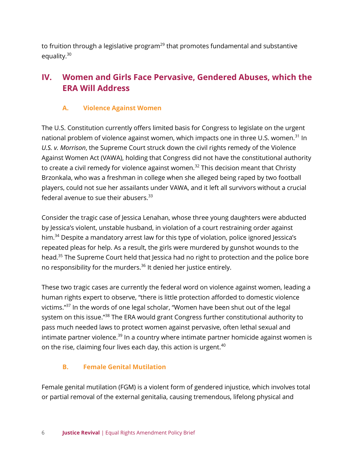to fruition through a legislative program<sup>29</sup> that promotes fundamental and substantive equality.<sup>30</sup>

## **IV. Women and Girls Face Pervasive, Gendered Abuses, which the ERA Will Address**

#### **A. Violence Against Women**

The U.S. Constitution currently offers limited basis for Congress to legislate on the urgent national problem of violence against women, which impacts one in three U.S. women.<sup>31</sup> In *U.S. v. Morrison*, the Supreme Court struck down the civil rights remedy of the Violence Against Women Act (VAWA), holding that Congress did not have the constitutional authority to create a civil remedy for violence against women.<sup>32</sup> This decision meant that Christy Brzonkala, who was a freshman in college when she alleged being raped by two football players, could not sue her assailants under VAWA, and it left all survivors without a crucial federal avenue to sue their abusers.<sup>33</sup>

Consider the tragic case of Jessica Lenahan, whose three young daughters were abducted by Jessica's violent, unstable husband, in violation of a court restraining order against him.<sup>34</sup> Despite a mandatory arrest law for this type of violation, police ignored Jessica's repeated pleas for help. As a result, the girls were murdered by gunshot wounds to the head.<sup>35</sup> The Supreme Court held that Jessica had no right to protection and the police bore no responsibility for the murders.<sup>36</sup> It denied her justice entirely.

These two tragic cases are currently the federal word on violence against women, leading a human rights expert to observe, "there is little protection afforded to domestic violence victims."<sup>37</sup> In the words of one legal scholar, "Women have been shut out of the legal system on this issue."<sup>38</sup> The ERA would grant Congress further constitutional authority to pass much needed laws to protect women against pervasive, often lethal sexual and intimate partner violence.<sup>39</sup> In a country where intimate partner homicide against women is on the rise, claiming four lives each day, this action is urgent.<sup>40</sup>

#### **B. Female Genital Mutilation**

Female genital mutilation (FGM) is a violent form of gendered injustice, which involves total or partial removal of the external genitalia, causing tremendous, lifelong physical and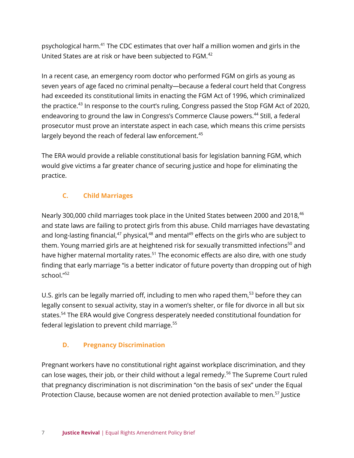psychological harm.<sup>41</sup> The CDC estimates that over half a million women and girls in the United States are at risk or have been subjected to FGM.<sup>42</sup>

In a recent case, an emergency room doctor who performed FGM on girls as young as seven years of age faced no criminal penalty—because a federal court held that Congress had exceeded its constitutional limits in enacting the FGM Act of 1996, which criminalized the practice.<sup>43</sup> In response to the court's ruling, Congress passed the Stop FGM Act of 2020, endeavoring to ground the law in Congress's Commerce Clause powers.<sup>44</sup> Still, a federal prosecutor must prove an interstate aspect in each case, which means this crime persists largely beyond the reach of federal law enforcement.<sup>45</sup>

The ERA would provide a reliable constitutional basis for legislation banning FGM, which would give victims a far greater chance of securing justice and hope for eliminating the practice.

#### **C. Child Marriages**

Nearly 300,000 child marriages took place in the United States between 2000 and 2018,<sup>46</sup> and state laws are failing to protect girls from this abuse. Child marriages have devastating and long-lasting financial,<sup>47</sup> physical,<sup>48</sup> and mental<sup>49</sup> effects on the girls who are subject to them. Young married girls are at heightened risk for sexually transmitted infections<sup>50</sup> and have higher maternal mortality rates.<sup>51</sup> The economic effects are also dire, with one study finding that early marriage "is a better indicator of future poverty than dropping out of high school."<sup>52</sup>

U.S. girls can be legally married off, including to men who raped them,<sup>53</sup> before they can legally consent to sexual activity, stay in a women's shelter, or file for divorce in all but six states.<sup>54</sup> The ERA would give Congress desperately needed constitutional foundation for federal legislation to prevent child marriage.<sup>55</sup>

#### **D. Pregnancy Discrimination**

Pregnant workers have no constitutional right against workplace discrimination, and they can lose wages, their job, or their child without a legal remedy.<sup>56</sup> The Supreme Court ruled that pregnancy discrimination is not discrimination "on the basis of sex" under the Equal Protection Clause, because women are not denied protection available to men.<sup>57</sup> Justice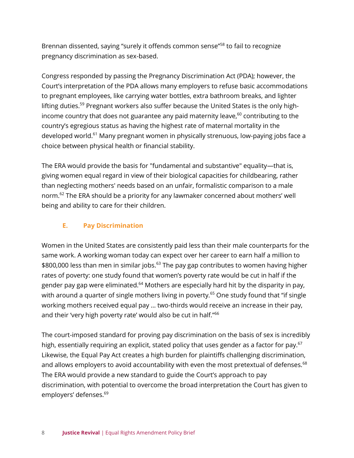Brennan dissented, saying "surely it offends common sense"<sup>58</sup> to fail to recognize pregnancy discrimination as sex-based.

Congress responded by passing the Pregnancy Discrimination Act (PDA); however, the Court's interpretation of the PDA allows many employers to refuse basic accommodations to pregnant employees, like carrying water bottles, extra bathroom breaks, and lighter lifting duties.<sup>59</sup> Pregnant workers also suffer because the United States is the only highincome country that does not guarantee any paid maternity leave, $60$  contributing to the country's egregious status as having the highest rate of maternal mortality in the developed world.<sup>61</sup> Many pregnant women in physically strenuous, low-paying jobs face a choice between physical health or financial stability.

The ERA would provide the basis for "fundamental and substantive" equality—that is, giving women equal regard in view of their biological capacities for childbearing, rather than neglecting mothers' needs based on an unfair, formalistic comparison to a male norm.<sup>62</sup> The ERA should be a priority for any lawmaker concerned about mothers' well being and ability to care for their children.

#### **E. Pay Discrimination**

Women in the United States are consistently paid less than their male counterparts for the same work. A working woman today can expect over her career to earn half a million to \$800,000 less than men in similar jobs.<sup>63</sup> The pay gap contributes to women having higher rates of poverty: one study found that women's poverty rate would be cut in half if the gender pay gap were eliminated.<sup>64</sup> Mothers are especially hard hit by the disparity in pay, with around a quarter of single mothers living in poverty.<sup>65</sup> One study found that "if single working mothers received equal pay … two-thirds would receive an increase in their pay, and their 'very high poverty rate' would also be cut in half."<sup>66</sup>

The court-imposed standard for proving pay discrimination on the basis of sex is incredibly high, essentially requiring an explicit, stated policy that uses gender as a factor for pay.<sup>67</sup> Likewise, the Equal Pay Act creates a high burden for plaintiffs challenging discrimination, and allows employers to avoid accountability with even the most pretextual of defenses.<sup>68</sup> The ERA would provide a new standard to guide the Court's approach to pay discrimination, with potential to overcome the broad interpretation the Court has given to employers' defenses.<sup>69</sup>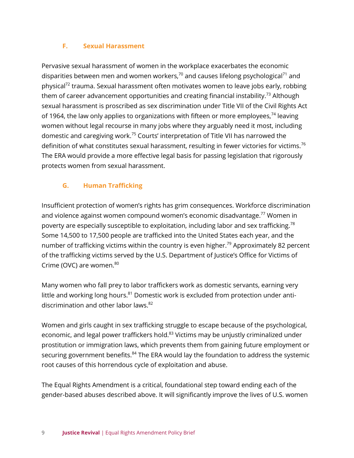#### **F. Sexual Harassment**

Pervasive sexual harassment of women in the workplace exacerbates the economic disparities between men and women workers, $70$  and causes lifelong psychological $71$  and physical<sup>72</sup> trauma. Sexual harassment often motivates women to leave jobs early, robbing them of career advancement opportunities and creating financial instability.<sup>73</sup> Although sexual harassment is proscribed as sex discrimination under Title VII of the Civil Rights Act of 1964, the law only applies to organizations with fifteen or more employees,  $74$  leaving women without legal recourse in many jobs where they arguably need it most, including domestic and caregiving work.<sup>75</sup> Courts' interpretation of Title VII has narrowed the definition of what constitutes sexual harassment, resulting in fewer victories for victims.<sup>76</sup> The ERA would provide a more effective legal basis for passing legislation that rigorously protects women from sexual harassment.

#### **G. Human Trafficking**

Insufficient protection of women's rights has grim consequences. Workforce discrimination and violence against women compound women's economic disadvantage.<sup>77</sup> Women in poverty are especially susceptible to exploitation, including labor and sex trafficking.<sup>78</sup> Some 14,500 to 17,500 people are trafficked into the United States each year, and the number of trafficking victims within the country is even higher.<sup>79</sup> Approximately 82 percent of the trafficking victims served by the U.S. Department of Justice's Office for Victims of Crime (OVC) are women. $80$ 

Many women who fall prey to labor traffickers work as domestic servants, earning very little and working long hours.<sup>81</sup> Domestic work is excluded from protection under antidiscrimination and other labor laws.<sup>82</sup>

Women and girls caught in sex trafficking struggle to escape because of the psychological, economic, and legal power traffickers hold.<sup>83</sup> Victims may be unjustly criminalized under prostitution or immigration laws, which prevents them from gaining future employment or securing government benefits.<sup>84</sup> The ERA would lay the foundation to address the systemic root causes of this horrendous cycle of exploitation and abuse.

The Equal Rights Amendment is a critical, foundational step toward ending each of the gender-based abuses described above. It will significantly improve the lives of U.S. women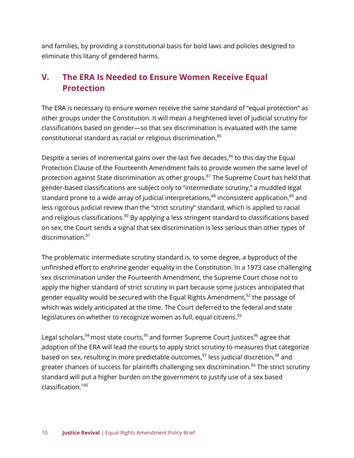and families, by providing a constitutional basis for bold laws and policies designed to eliminate this litany of gendered harms.

## **V. The ERA Is Needed to Ensure Women Receive Equal Protection**

The ERA is necessary to ensure women receive the same standard of "equal protection" as other groups under the Constitution. It will mean a heightened level of judicial scrutiny for classifications based on gender—so that sex discrimination is evaluated with the same constitutional standard as racial or religious discrimination.<sup>85</sup>

Despite a series of incremental gains over the last five decades, $86$  to this day the Equal Protection Clause of the Fourteenth Amendment fails to provide women the same level of protection against State discrimination as other groups.<sup>87</sup> The Supreme Court has held that gender-based classifications are subject only to "intermediate scrutiny," a muddled legal standard prone to a wide array of judicial interpretations,<sup>88</sup> inconsistent application,<sup>89</sup> and less rigorous judicial review than the "strict scrutiny" standard, which is applied to racial and religious classifications.<sup>90</sup> By applying a less stringent standard to classifications based on sex, the Court sends a signal that sex discrimination is less serious than other types of discrimination.<sup>91</sup>

The problematic intermediate scrutiny standard is, to some degree, a byproduct of the unfinished effort to enshrine gender equality in the Constitution. In a 1973 case challenging sex discrimination under the Fourteenth Amendment, the Supreme Court chose not to apply the higher standard of strict scrutiny in part because some justices anticipated that gender equality would be secured with the Equal Rights Amendment, $92$  the passage of which was widely anticipated at the time. The Court deferred to the federal and state legislatures on whether to recognize women as full, equal citizens.<sup>93</sup>

Legal scholars,  $94$  most state courts,  $95$  and former Supreme Court Justices  $96$  agree that adoption of the ERA will lead the courts to apply strict scrutiny to measures that categorize based on sex, resulting in more predictable outcomes, $97$  less judicial discretion, $98$  and greater chances of success for plaintiffs challenging sex discrimination.<sup>99</sup> The strict scrutiny standard will put a higher burden on the government to justify use of a sex based classification.<sup>100</sup>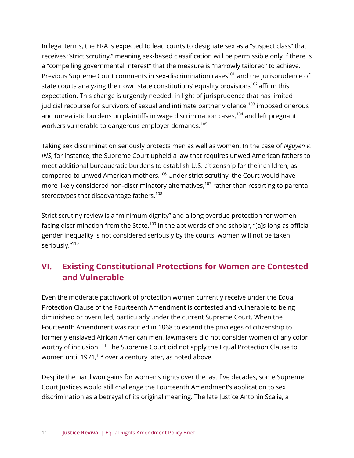In legal terms, the ERA is expected to lead courts to designate sex as a "suspect class" that receives "strict scrutiny," meaning sex-based classification will be permissible only if there is a "compelling governmental interest" that the measure is "narrowly tailored" to achieve. Previous Supreme Court comments in sex-discrimination cases<sup>101</sup> and the jurisprudence of state courts analyzing their own state constitutions' equality provisions<sup>102</sup> affirm this expectation. This change is urgently needed, in light of jurisprudence that has limited judicial recourse for survivors of sexual and intimate partner violence,  $103$  imposed onerous and unrealistic burdens on plaintiffs in wage discrimination cases,<sup>104</sup> and left pregnant workers vulnerable to dangerous employer demands.<sup>105</sup>

Taking sex discrimination seriously protects men as well as women. In the case of *Nguyen v. INS*, for instance, the Supreme Court upheld a law that requires unwed American fathers to meet additional bureaucratic burdens to establish U.S. citizenship for their children, as compared to unwed American mothers.<sup>106</sup> Under strict scrutiny, the Court would have more likely considered non-discriminatory alternatives,<sup>107</sup> rather than resorting to parental stereotypes that disadvantage fathers.<sup>108</sup>

Strict scrutiny review is a "minimum dignity" and a long overdue protection for women facing discrimination from the State.<sup>109</sup> In the apt words of one scholar, "[a]s long as official gender inequality is not considered seriously by the courts, women will not be taken seriously."110

## **VI. Existing Constitutional Protections for Women are Contested and Vulnerable**

Even the moderate patchwork of protection women currently receive under the Equal Protection Clause of the Fourteenth Amendment is contested and vulnerable to being diminished or overruled, particularly under the current Supreme Court. When the Fourteenth Amendment was ratified in 1868 to extend the privileges of citizenship to formerly enslaved African American men, lawmakers did not consider women of any color worthy of inclusion.<sup>111</sup> The Supreme Court did not apply the Equal Protection Clause to women until 1971, $^{112}$  over a century later, as noted above.

Despite the hard won gains for women's rights over the last five decades, some Supreme Court Justices would still challenge the Fourteenth Amendment's application to sex discrimination as a betrayal of its original meaning. The late Justice Antonin Scalia, a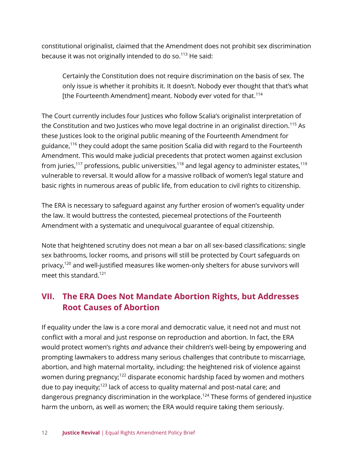constitutional originalist, claimed that the Amendment does not prohibit sex discrimination because it was not originally intended to do so. $113$  He said:

Certainly the Constitution does not require discrimination on the basis of sex. The only issue is whether it prohibits it. It doesn't. Nobody ever thought that that's what [the Fourteenth Amendment] meant. Nobody ever voted for that.<sup>114</sup>

The Court currently includes four Justices who follow Scalia's originalist interpretation of the Constitution and two Justices who move legal doctrine in an originalist direction.<sup>115</sup> As these Justices look to the original public meaning of the Fourteenth Amendment for guidance,<sup>116</sup> they could adopt the same position Scalia did with regard to the Fourteenth Amendment. This would make judicial precedents that protect women against exclusion from juries,<sup>117</sup> professions, public universities,<sup>118</sup> and legal agency to administer estates,<sup>119</sup> vulnerable to reversal. It would allow for a massive rollback of women's legal stature and basic rights in numerous areas of public life, from education to civil rights to citizenship.

The ERA is necessary to safeguard against any further erosion of women's equality under the law. It would buttress the contested, piecemeal protections of the Fourteenth Amendment with a systematic and unequivocal guarantee of equal citizenship.

Note that heightened scrutiny does not mean a bar on all sex-based classifications: single sex bathrooms, locker rooms, and prisons will still be protected by Court safeguards on privacy,<sup>120</sup> and well-justified measures like women-only shelters for abuse survivors will meet this standard.<sup>121</sup>

## **VII. The ERA Does Not Mandate Abortion Rights, but Addresses Root Causes of Abortion**

If equality under the law is a core moral and democratic value, it need not and must not conflict with a moral and just response on reproduction and abortion. In fact, the ERA would protect women's rights *and* advance their children's well-being by empowering and prompting lawmakers to address many serious challenges that contribute to miscarriage, abortion, and high maternal mortality, including: the heightened risk of violence against women during pregnancy;<sup>122</sup> disparate economic hardship faced by women and mothers due to pay inequity;<sup>123</sup> lack of access to quality maternal and post-natal care; and dangerous pregnancy discrimination in the workplace.<sup>124</sup> These forms of gendered injustice harm the unborn, as well as women; the ERA would require taking them seriously.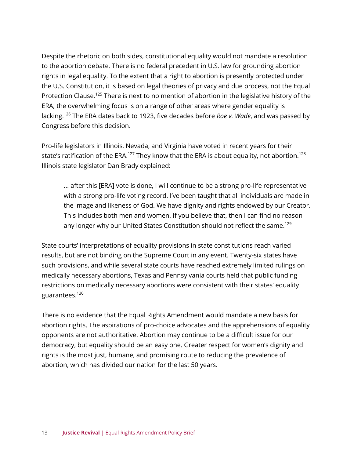Despite the rhetoric on both sides, constitutional equality would not mandate a resolution to the abortion debate. There is no federal precedent in U.S. law for grounding abortion rights in legal equality. To the extent that a right to abortion is presently protected under the U.S. Constitution, it is based on legal theories of privacy and due process, not the Equal Protection Clause.<sup>125</sup> There is next to no mention of abortion in the legislative history of the ERA; the overwhelming focus is on a range of other areas where gender equality is lacking.<sup>126</sup> The ERA dates back to 1923, five decades before *Roe v. Wade*, and was passed by Congress before this decision.

Pro-life legislators in Illinois, Nevada, and Virginia have voted in recent years for their state's ratification of the ERA.<sup>127</sup> They know that the ERA is about equality, not abortion.<sup>128</sup> Illinois state legislator Dan Brady explained:

... after this [ERA] vote is done, I will continue to be a strong pro-life representative with a strong pro-life voting record. I've been taught that all individuals are made in the image and likeness of God. We have dignity and rights endowed by our Creator. This includes both men and women. If you believe that, then I can find no reason any longer why our United States Constitution should not reflect the same.<sup>129</sup>

State courts' interpretations of equality provisions in state constitutions reach varied results, but are not binding on the Supreme Court in any event. Twenty-six states have such provisions, and while several state courts have reached extremely limited rulings on medically necessary abortions, Texas and Pennsylvania courts held that public funding restrictions on medically necessary abortions were consistent with their states' equality guarantees.<sup>130</sup>

There is no evidence that the Equal Rights Amendment would mandate a new basis for abortion rights. The aspirations of pro-choice advocates and the apprehensions of equality opponents are not authoritative. Abortion may continue to be a difficult issue for our democracy, but equality should be an easy one. Greater respect for women's dignity and rights is the most just, humane, and promising route to reducing the prevalence of abortion, which has divided our nation for the last 50 years.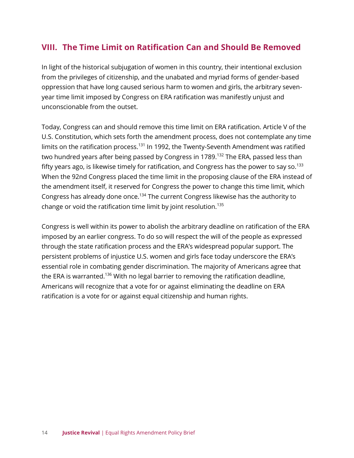## **VIII. The Time Limit on Ratification Can and Should Be Removed**

In light of the historical subjugation of women in this country, their intentional exclusion from the privileges of citizenship, and the unabated and myriad forms of gender-based oppression that have long caused serious harm to women and girls, the arbitrary sevenyear time limit imposed by Congress on ERA ratification was manifestly unjust and unconscionable from the outset.

Today, Congress can and should remove this time limit on ERA ratification. Article V of the U.S. Constitution, which sets forth the amendment process, does not contemplate any time limits on the ratification process.<sup>131</sup> In 1992, the Twenty-Seventh Amendment was ratified two hundred years after being passed by Congress in 1789.<sup>132</sup> The ERA, passed less than fifty years ago, is likewise timely for ratification, and Congress has the power to say so.<sup>133</sup> When the 92nd Congress placed the time limit in the proposing clause of the ERA instead of the amendment itself, it reserved for Congress the power to change this time limit, which Congress has already done once.<sup>134</sup> The current Congress likewise has the authority to change or void the ratification time limit by joint resolution.<sup>135</sup>

Congress is well within its power to abolish the arbitrary deadline on ratification of the ERA imposed by an earlier congress. To do so will respect the will of the people as expressed through the state ratification process and the ERA's widespread popular support. The persistent problems of injustice U.S. women and girls face today underscore the ERA's essential role in combating gender discrimination. The majority of Americans agree that the ERA is warranted.<sup>136</sup> With no legal barrier to removing the ratification deadline, Americans will recognize that a vote for or against eliminating the deadline on ERA ratification is a vote for or against equal citizenship and human rights.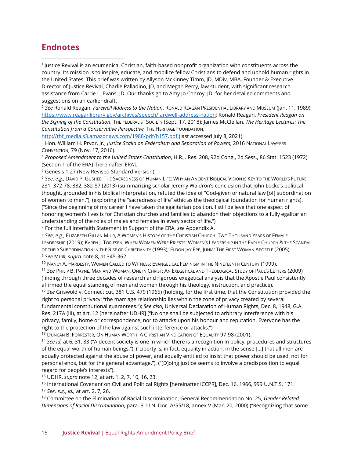#### **Endnotes**

1 Justice Revival is an ecumenical Christian, faith-based nonprofit organization with constituents across the country. Its mission is to inspire, educate, and mobilize fellow Christians to defend and uphold human rights in the United States. This brief was written by Allyson McKinney Timm, JD, MDiv, MBA, Founder & Executive Director of Justice Revival, Charlie Palladino, JD, and Megan Perry, law student, with significant research assistance from Carrie L. Evans, JD. Our thanks go to Amy Jo Conroy, JD, for her detailed comments and suggestions on an earlier draft.

<sup>2</sup> *See* Ronald Reagan, *Farewell Address to the Nation*, RONALD REAGAN PRESIDENTIAL LIBRARY AND MUSEUM (Jan. 11, 1989), [https://www.reaganlibrary.gov/archives/speech/farewell-address-nation;](https://www.reaganlibrary.gov/archives/speech/farewell-address-nation) Ronald Reagan, *President Reagan on the Signing of the Constitution*, THE FEDERALIST SOCIETY (Sept. 17, 2018); James McClellan, *The Heritage Lectures: The*  **Constitution from a Conservative Perspective, THE HERITAGE FOUNDATION,** 

[http://thf\\_media.s3.amazonaws.com/1988/pdf/h157.pdf](about:blank) (last accessed July 8, 2021).

<sup>3</sup> Hon. William H. Pryor, Jr., *Justice Scalia on Federalism and Separation of Powers*, 2016 NATIONAL LAWYERS CONVENTION, 79 (Nov. 17, 2016).

<sup>4</sup> *Proposed Amendment to the United States Constitution*, H.R.J. Res. 208, 92d Cong., 2d Sess., 86 Stat. 1523 (1972) (Section 1 of the ERA) [hereinafter ERA].

<sup>5</sup> Genesis 1:27 (New Revised Standard Version).

<sup>6</sup> *See*, *e.g.*, DAVID P. GUSHEE, THE SACREDNESS OF HUMAN LIFE: WHY AN ANCIENT BIBLICAL VISION IS KEY TO THE WORLD'S FUTURE 231, 372-78, 382, 382-87 (2013) (summarizing scholar Jeremy Waldron's conclusion that John Locke's political thought, grounded in his biblical interpretation, refuted the idea of "God-given or natural law [of] subordination of women to men."), (exploring the "sacredness of life" ethic as the theological foundation for human rights), ("Since the beginning of my career I have taken the egalitarian position. I still believe that one aspect of honoring women's lives is for Christian churches and families to abandon their objections to a fully egalitarian understanding of the roles of males and females in every sector of life.")

<sup>7</sup> For the full Interfaith Statement in Support of the ERA, *see* Appendix A.

<sup>8</sup> *See*, *e.g*., ELIZABETH GILLAN MUIR, A WOMEN'S HISTORY OF THE CHRISTIAN CHURCH: TWO THOUSAND YEARS OF FEMALE LEADERSHIP (2019); KAREN J. TORIESEN, WHEN WOMEN WERE PRIESTS: WOMEN'S LEADERSHIP IN THE EARLY CHURCH & THE SCANDAL OF THEIR SUBORDINATION IN THE RISE OF CHRISTIANITY (1993); ELDON JAY EPP, JUNIA: THE FIRST WOMAN APOSTLE (2005). <sup>9</sup> *See* MUIR, *supra* note 8, at 345-362.

<sup>10</sup> NANCY A. HARDESTY, WOMEN CALLED TO WITNESS: EVANGELICAL FEMINISM IN THE NINETEENTH CENTURY (1999).

<sup>11</sup> *See* PHILIP B. PAYNE, MAN AND WOMAN, ONE IN CHRIST: AN EXEGETICAL AND THEOLOGICAL STUDY OF PAUL'S LETTERS (2009) (finding through three decades of research and rigorous exegetical analysis that the Apostle Paul consistently affirmed the equal standing of men and women through his theology, instruction, and practice).

<sup>12</sup> *See* Griswold v. Connecticut, 381 U.S. 479 (1965) (holding, for the first time, that the Constitution provided the right to personal privacy: "the marriage relationship lies within the zone of privacy created by several fundamental constitutional guarantees."); *See also*, Universal Declaration of Human Rights, Dec. 8, 1948, G.A. Res. 217A (III), at art. 12 [hereinafter UDHR] ("No one shall be subjected to arbitrary interference with his privacy, family, home or correspondence, nor to attacks upon his honour and reputation. Everyone has the right to the protection of the law against such interference or attacks.")

<sup>13</sup> DUNCAN B. FORRESTER, ON HUMAN WORTH: A CHRISTIAN VINDICATION OF EQUALITY 97-98 (2001).

<sup>14</sup> *See id.* at 6, 31, 33 ("A decent society is one in which there is a recognition in policy, procedures and structures of the equal worth of human beings."), ("Liberty is, in fact, equality in action, in the sense […] that all men are equally protected against the abuse of power, and equally entitled to insist that power should be used, not for personal ends, but for the general advantage."), ("[D]oing justice seems to involve a predisposition to equal regard for people's interests").

<sup>15</sup> UDHR, *supra* note 12, at art. 1, 2, 7, 10, 16, 23.

<sup>16</sup> International Covenant on Civil and Political Rights [hereinafter ICCPR], Dec. 16, 1966, 999 U.N.T.S. 171. <sup>17</sup> *See, e.g.*, *id.,* at art. 2, 7, 26.

<sup>18</sup> Committee on the Elimination of Racial Discrimination, General Recommendation No. 25, *Gender Related Dimensions of Racial Discrimination*, para. 3, U.N. Doc. A/55/18, annex V (Mar. 20, 2000) ("Recognizing that some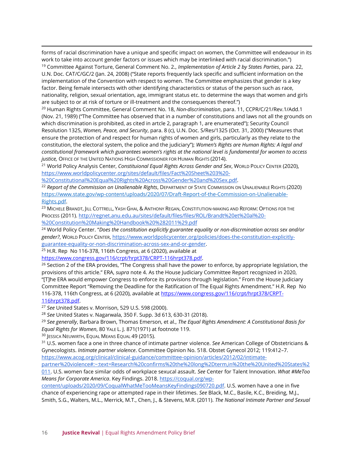forms of racial discrimination have a unique and specific impact on women, the Committee will endeavour in its work to take into account gender factors or issues which may be interlinked with racial discrimination.")

<sup>19</sup> Committee Against Torture, General Comment No. 2., *Implementation of Article 2 by States Parties*, para. 22, U.N. Doc. CAT/C/GC/2 (Jan. 24, 2008) ("State reports frequently lack specific and sufficient information on the implementation of the Convention with respect to women. The Committee emphasizes that gender is a key factor. Being female intersects with other identifying characteristics or status of the person such as race, nationality, religion, sexual orientation, age, immigrant status etc. to determine the ways that women and girls are subject to or at risk of torture or ill-treatment and the consequences thereof.")

<sup>20</sup> Human Rights Committee, General Comment No. 18, *Non-discrimination*, para. 11, CCPR/C/21/Rev.1/Add.1 (Nov. 21, 1989) ("The Committee has observed that in a number of constitutions and laws not all the grounds on which discrimination is prohibited, as cited in artcle 2, paragraph 1, are enumerated"); Security Council Resolution 1325, *Women, Peace, and Security*, para. 8 (c), U.N. Doc. S/Res/1325 (Oct. 31, 2000) ("Measures that ensure the protection of and respect for human rights of women and girls, particularly as they relate to the constitution, the electoral system, the police and the judiciary"); *Women's Rights are Human Rights: A legal and constitutional framework which guarantees women's rights at the national level is fundamental for women to access justice,* OFFICE OF THE UNITED NATIONS HIGH COMMISSIONER FOR HUMAN RIGHTS (2014).

<sup>21</sup> World Policy Analysis Center, *Constituional Equal Rights Across Gender and Sex*, WORLD POLICY CENTER (2020), [https://www.worldpolicycenter.org/sites/default/files/Fact%20Sheet%203%20-](https://www.worldpolicycenter.org/sites/default/files/Fact%20Sheet%203%20-%20Constitutional%20Equal%20Rights%20Across%20Gender%20and%20Sex.pdf)

[%20Constitutional%20Equal%20Rights%20Across%20Gender%20and%20Sex.pdf.](https://www.worldpolicycenter.org/sites/default/files/Fact%20Sheet%203%20-%20Constitutional%20Equal%20Rights%20Across%20Gender%20and%20Sex.pdf)

<sup>22</sup> *Report of the Commission on Unalienable Rights*, DEPARTMENT OF STATE COMMISSION ON UNALIENABLE RIGHTS (2020) [https://www.state.gov/wp-content/uploads/2020/07/Draft-Report-of-the-Commission-on-Unalienable-](https://www.state.gov/wp-content/uploads/2020/07/Draft-Report-of-the-Commission-on-Unalienable-Rights.pdf)[Rights.pdf.](https://www.state.gov/wp-content/uploads/2020/07/Draft-Report-of-the-Commission-on-Unalienable-Rights.pdf)

<sup>23</sup> MICHELE BRANDT, JILL COTTRELL, YASH GHAI, & ANTHONY REGAN, CONSTITUTION-MAKING AND REFORM: OPTIONS FOR THE PROCESS (2011). [http://regnet.anu.edu.au/sites/default/files/files/ROL/Brandt%20et%20al%20-](http://regnet.anu.edu.au/sites/default/files/files/ROL/Brandt%20et%20al%20-%20Constitution%20Making%20Handbook%20%282011%29.pdf) [%20Constitution%20Making%20Handbook%20%282011%29.pdf](http://regnet.anu.edu.au/sites/default/files/files/ROL/Brandt%20et%20al%20-%20Constitution%20Making%20Handbook%20%282011%29.pdf)

<sup>24</sup> World Policy Center. "*Does the constitution explicitly guarantee equality or non-discrmination across sex and/or gender?*, WORLD POLICY CENTER, [https://www.worldpolicycenter.org/policies/does-the-constitution-explicitly](about:blank)[guarantee-equality-or-non-discrimination-across-sex-and-or-gender.](about:blank)

 $25$  H.R. Rep No 116-378, 116th Congress, at 6 (2020), available at

[https://www.congress.gov/116/crpt/hrpt378/CRPT-116hrpt378.pdf.](https://www.congress.gov/116/crpt/hrpt378/CRPT-116hrpt378.pdf) 

 $26$  Section 2 of the ERA provides, "The Congress shall have the power to enforce, by appropriate legislation, the provisions of this article." ERA, *supra* note 4. As the House Judiciary Committee Report recognized in 2020, "[T]he ERA would empower Congress to enforce its provisions through legislation." From the House Judiciary Committee Report "Removing the Deadline for the Ratification of The Equal Rights Amendment." H.R. Rep No 116-378, 116th Congress, at 6 (2020), available a[t https://www.congress.gov/116/crpt/hrpt378/CRPT-](https://www.congress.gov/116/crpt/hrpt378/CRPT-116hrpt378.pdf)[116hrpt378.pdf.](https://www.congress.gov/116/crpt/hrpt378/CRPT-116hrpt378.pdf)

<sup>27</sup> *See* United States v. Morrison, 529 U.S. 598 (2000).

<sup>28</sup> *See* United States v. Nagarwala, 350 F. Supp. 3d 613, 630-31 (2018).

<sup>29</sup> *See generally*, Barbara Brown, Thomas Emerson, et al., *The Equal Rights Amendment: A Constitutional Basis for Equal Rights for Women*, 80 YALE L. J. 871(1971) at footnote 119.

<sup>30</sup> JESSICA NEUWIRTH, EQUAL MEANS EQUAL 49 (2015).

<sup>31</sup> U.S. women face a one in three chance of intimate partner violence. *See* American College of Obstetricians & Gynecologists. *Intimate partner violence*. Committee Opinion No. 518. Obstet Gynecol 2012; 119:412–7. [https://www.acog.org/clinical/clinical-guidance/committee-opinion/articles/2012/02/intimate-](https://www.acog.org/clinical/clinical-guidance/committee-opinion/articles/2012/02/intimate-partner%20violence#:~:text=Research%20confirms%20the%20long%2Dterm,in%20the%20United%20States%2011)

[partner%20violence#:~:text=Research%20confirms%20the%20long%2Dterm,in%20the%20United%20States%2](https://www.acog.org/clinical/clinical-guidance/committee-opinion/articles/2012/02/intimate-partner%20violence#:~:text=Research%20confirms%20the%20long%2Dterm,in%20the%20United%20States%2011) [011.](https://www.acog.org/clinical/clinical-guidance/committee-opinion/articles/2012/02/intimate-partner%20violence#:~:text=Research%20confirms%20the%20long%2Dterm,in%20the%20United%20States%2011) U.S. women face similar odds of workplace sexucal assault. *See* Center for Talent Innovation. *What #MeToo Means for Corporate America*. Key Findings. 2018. [https://coqual.org/wp-](https://coqual.org/wp-content/uploads/2020/09/CoqualWhatMeTooMeansKeyFindings090720.pdf)

[content/uploads/2020/09/CoqualWhatMeTooMeansKeyFindings090720.pdf.](https://coqual.org/wp-content/uploads/2020/09/CoqualWhatMeTooMeansKeyFindings090720.pdf) U.S. women have a one in five chance of experiencing rape or attempted rape in their lifetimes. *See* Black, M.C., Basile, K.C., Breiding, M.J., Smith, S.G., Walters, M.L., Merrick, M.T., Chen, J., & Stevens, M.R. (2011). *The National Intimate Partner and Sexual*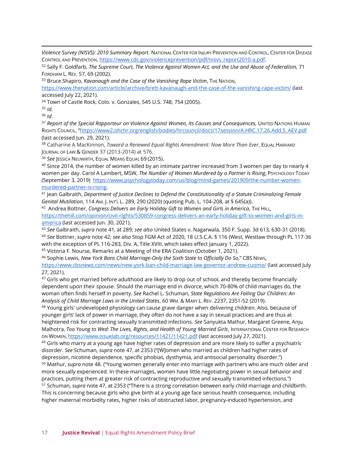*Violence Survey (NISVS): 2010 Summary Report.* NATIONAL CENTER FOR INJURY PREVENTION AND CONTROL, CENTER FOR DISEASE CONTROL AND PREVENTION, [https://www.cdc.gov/violenceprevention/pdf/nisvs\\_report2010-a.pdf.](about:blank)

<sup>32</sup> Sally F. Goldfarb, *The Supreme Court, The Violence Against Women Act, and the Use and Abuse of Federalism*, 71 FORDHAM L. REV. 57, 69 (2002).

<sup>33</sup> Bruce Shapiro, *Kavanaugh and the Case of the Vanishing Rape Victim*, THE NATION,

[https://www.thenation.com/article/archive/brett-kavanaugh-and-the-case-of-the-vanishing-rape-victim/](about:blank) (last accessed July 22, 2021).

<sup>34</sup> Town of Castle Rock, Colo. v. Gonzales, 545 U.S. 748, 754 (2005).

<sup>35</sup> *Id*.

<sup>36</sup> *Id*.

<sup>37</sup> *Report of the Special Rapporteur on Violence Against Women, Its Causes and Consequences,* UNITED NATIONS HUMAN RIGHTS COUNCIL, "[https://www2.ohchr.org/english/bodies/hrcouncil/docs/17session/A.HRC.17.26.Add.5\\_AEV.pdf](about:blank) (last accessed Jun. 29, 2021).

<sup>38</sup> Catharine A MacKinnon, *Toward a Renewed Equal Rights Amendment: Now More Than Ever*, EQUAL HARVARD JOURNAL OF LAW & GENDER 37 (2013-2014) at 576.

<sup>39</sup> *See* JESSICA NEUWIRTH, EQUAL MEANS EQUAL 69 (2015).

<sup>40</sup> Since 2014, the number of women killed by an intimate partner increased from 3 women per day to nearly 4 women per day. Carol A Lambert, MSW, *The Number of Women Murdered by a Partner Is Rising*, PsychoLogy Topay (September 3, 2019) [https://www.psychologytoday.com/us/blog/mind-games/201909/the-number-women](about:blank)[murdered-partner-is-rising.](about:blank)

<sup>41</sup> Jean Galbraith, *Department of Justice Declines to Defend the Constitutionality of a Statute Criminalizing Female Genital Mutilation*, 114 AM. J. INT'L L. 289, 290 (2020) (quoting Pub. L. 104-208, at § 645(a)).

<sup>42</sup> Andrea Bottner, *Congress Delivers an Early Holiday Gift to Women and Girls in America*, THE HILL,

[https://thehill.com/opinion/civil-rights/530859-congress-delivers-an-early-holiday-gift-to-women-and-girls-in](about:blank)[america](about:blank) (last accessed Jun. 30, 2021).

<sup>43</sup> *See* Galbraith, *supra* note 41, at 289; *see also* United States v. Nagarwala, 350 F. Supp. 3d 613, 630-31 (2018). <sup>44</sup> *See* Bottner, *supra* note 42; *see also* Stop FGM Act of 2020, 18 U.S.C.A. § 116 (West, Westlaw through PL 117-36 with the exception of PL 116-283, Div. A, Title XVIII, which takes effect January 1, 2022).

<sup>45</sup> Victoria F. Nourse, Remarks at a Meeting of the ERA Coalition (October 1, 2021).

<sup>46</sup> Sophie Lewis, *New York Bans Child Marriage-Only the Sixth State to Officially Do So*," CBS NEWS,

[https://www.cbsnews.com/news/new-york-ban-child-marriage-law-governor-andrew-cuomo/](about:blank) (last accessed July 27, 2021).

<sup>47</sup> Girls who get married before adulthood are likely to drop out of school, and thereby become financially dependent upon their spouse. Should the marriage end in divorce, which 70-80% of child marriages do, the woman often finds herself in poverty. *See* Rachel L. Schuman, *State Regulations Are Failing Our Children: An Analysis of Child Marriage Laws in the United States*, 60 WM. & MARY L. REV. 2237, 2351-52 (2019).

48 Young girls' undeveloped physiology can cause grave danger when delivering children. Also, because of younger girls' lack of power in marriage, they often do not have a say in sexual practices and are thus at heightened risk for contracting sexually transmitted infections. *See* Sanyukta Mathur, Margaret Greene, Anju Malhotra, *Too Young to Wed: The Lives, Rights, and Health of Young Married Girls*, INTERNATIONAL CENTER FOR RESEARCH ON WOMEN, <https://www.issuelab.org/resources/11421/11421.pdf> (last accessed July 27, 2021).

<sup>49</sup> Girls who marry at a young age have higher rates of depression and are more likely to suffer a psychiatric disorder. *See* Schuman, *supra* note 47, at 2353 ("[W]omen who married as children had higher rates of depression, nicotine dependence, specific phobias, dysthymia, and antisocial personality disorder.") <sup>50</sup> Mathur, *supra* note 48. ("Young women generally enter into marriage with partners who are much older and more sexually experienced. In these marriages, women have little negotiating power in sexual behavior and practices, putting them at greater risk of contracting reproductive and sexually transmitted infections.") <sup>51</sup> Schuman, *supra* note 47, at 2353 ("There is a strong correlation between early child marriage and childbirth. This is concerning because girls who give birth at a young age face serious health consequence, including higher maternal morbidity rates, higher risks of obstructed labor, pregnancy-induced hypertension, and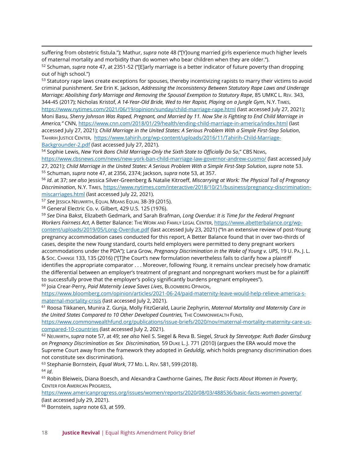suffering from obstetric fistula."); Mathur, *supra* note 48 ("[Y]oung married girls experience much higher levels of maternal mortality and morbidity than do women who bear children when they are older.").

<sup>52</sup> Schuman, *supra* note 47, at 2351-52 ("[E]arly marriage is a better indicator of future poverty than dropping out of high school.")

53 Statutory rape laws create exceptions for spouses, thereby incentivizing rapists to marry their victims to avoid criminal punishment. *See* Erin K. Jackson, *Addressing the Inconsistency Between Statutory Rape Laws and Underage Marriage: Abolishing Early Marriage and Removing the Spousal Exemption to Statutory Rape*, 85 UMKC L. REV. 343, 344-45 (2017); Nicholas Kristof, *A 14-Year-Old Bride, Wed to Her Rapist, Playing on a Jungle Gym*, N.Y. TIMES, [https://www.nytimes.com/2021/06/19/opinion/sunday/child-marriage-rape.html](about:blank) (last accessed July 27, 2021); Moni Basu, *Sherry Johnson Was Raped, Pregnant, and Married by 11. Now She is Fighting to End Child Marriage in America,"* CNN[, https://www.cnn.com/2018/01/29/health/ending-child-marriage-in-america/index.html](https://www.cnn.com/2018/01/29/health/ending-child-marriage-in-america/index.html) (last accessed July 27, 2021); *Child Marriage in the United States: A Serious Problem With a Simple First-Step Solution*, TAHIRIH JUSTICE CENTER, [https://www.tahirih.org/wp-content/uploads/2016/11/Tahirih-Child-Marriage-](about:blank)[Backgrounder-2.pdf](about:blank) (last accessed July 27, 2021).

<sup>54</sup> Sophie Lewis, *New York Bans Child Marriage-Only the Sixth State to Officially Do So*," CBS NEWS,

[https://www.cbsnews.com/news/new-york-ban-child-marriage-law-governor-andrew-cuomo/](about:blank) (last accessed July 27, 2021); *Child Marriage in the United States: A Serious Problem With a Simple First-Step Solution*, *supra* note 53. <sup>55</sup> Schuman, *supra* note 47, at 2356, 2374; Jackson*, supra* note 53, at 357.

<sup>56</sup> *Id*. at 37; *see also* Jessica Silver-Greenberg & Natalie Kitroeff, *Miscarrying at Work: The Physical Toll of Pregnancy Discrimination*, N.Y. TIMES, [https://www.nytimes.com/interactive/2018/10/21/business/pregnancy-discrimination](about:blank)[miscarriages.html](about:blank) (last accessed July 22, 2021).

<sup>57</sup> See IESSICA NEUWIRTH, EQUAL MEANS EQUAL 38-39 (2015).

<sup>58</sup> General Electric Co. v. Gilbert, 429 U.S. 125 (1976).

<sup>59</sup> *See* Dina Bakst, Elizabeth Gedmark, and Sarah Brafman, *Long Overdue: It is Time for the Federal Pregnant Workers Fairness Act*, A Better Balance: THE WORK AND FAMILY LEGAL CENTER[, https://www.abetterbalance.org/wp](about:blank)[content/uploads/2019/05/Long-Overdue.pdf](about:blank) (last accessed July 23, 2021) ("In an extensive review of post-Young pregnancy accommodation cases conducted for this report, A Better Balance found that in over two-thirds of cases, despite the new *Young* standard, courts held employers were permitted to deny pregnant workers accommodations under the PDA"); Lara Grow, *Pregnancy Discrimination in the Wake of Young v. UPS*, 19 U. PA. J. L. & SOC. CHANGE 133, 135 (2016) ("[T]he Court's new formulation nevertheless fails to clarify how a plaintiff identifies the appropriate comparator . . . Moreover, following *Young*, it remains unclear precisely how dramatic the differential between an employer's treatment of pregnant and nonpregnant workers must be for a plaintiff to successfully prove that the employer's policy significantly burdens pregnant employees"). <sup>60</sup> Joia Crear-Perry, *Paid Maternity Leave Saves Lives*, BLOOMBERG OPINION,

[https://www.bloomberg.com/opinion/articles/2021-06-24/paid-maternity-leave-would-help-relieve-america-s](about:blank)[maternal-mortality-crisis](about:blank) (last accessed July 2, 2021).

<sup>61</sup> Roosa Tikkanen, Munira Z. Gunja, Molly FitzGerald, Laurie Zephyrin, *Maternal Mortality and Maternity Care in the United States Compared to 10 Other Developed Countries,* THE COMMONWEALTH FUND,

[https://www.commonwealthfund.org/publications/issue-briefs/2020/nov/maternal-mortality-maternity-care-us](about:blank)[compared-10-countries](about:blank) (last accessed July 2, 2021).

<sup>62</sup> NEUWIRTH, *supra* note 57, at 49; *see also* Neil S. Siegel & Reva B. Siegel, *Struck by Stereotype: Ruth Bader Ginsburg on Pregnancy Discrimination as Sex Discrimination,* 59 DUKE L. J. 771 (2010) (argues the ERA would move the Supreme Court away from the framework they adopted in *Geduldig*, which holds pregnancy discrimination does not constitute sex discrimination).

<sup>63</sup> Stephanie Bornstein, *Equal Work*, 77 MD. L. REV. 581, 599 (2018). <sup>64</sup> *Id*.

<sup>65</sup> Robin Bleiweis, Diana Boesch, and Alexandra Cawthorne Gaines, *The Basic Facts About Women in Poverty*, CENTER FOR AMERICAN PROGRESS,

[https://www.americanprogress.org/issues/women/reports/2020/08/03/488536/basic-facts-women-poverty/](about:blank) (last accessed July 29, 2021).

<sup>66</sup> Bornstein*, supra* note 63, at 599.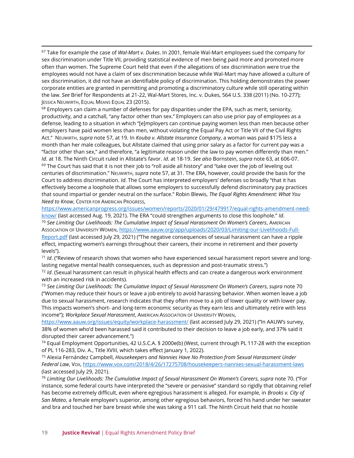<sup>67</sup> Take for example the case of *Wal-Mart v. Dukes*. In 2001, female Wal-Mart employees sued the company for sex discrimination under Title VII, providing statistical evidence of men being paid more and promoted more often than women. The Supreme Court held that even if the allegations of sex discrimination were true the employees would not have a claim of sex discrimination because while Wal-Mart may have allowed a culture of sex discrimination, it did not have an identifiable policy of discrimination. This holding demonstrates the power corporate entities are granted in permitting and promoting a discriminatory culture while still operating within the law. *See* Brief for Respondents at 21-22, Wal-Mart Stores, Inc. v. Dukes, 564 U.S. 338 (2011) (No. 10-277); JESSICA NEUWIRTH, EQUAL MEANS EQUAL 23 (2015).

 $68$  Employers can claim a number of defenses for pay disparities under the EPA, such as merit, seniority, productivity, and a catchall, "any factor other than sex." Employers can also use prior pay of employees as a defense, leading to a situation in which "[e]mployers can continue paying women less than men because other employers have paid women less than men, without violating the Equal Pay Act or Title VII of the Civil Rights Act." NEUWIRTH, *supra* note 57, at 19. In *Kouba v. Allstate Insurance Company*, a woman was paid \$175 less a month than her male colleagues, but Allstate claimed that using prior salary as a factor for current pay was a "factor other than sex," and therefore, "a legitimate reason under the law to pay women differently than men." *Id*. at 18. The Ninth Circuit ruled in Allstate's favor. *Id*. at 18-19. *See also* Bornstein, *supra* note 63, at 606-07.  $69$  The Court has said that it is not their job to "roll aside all history" and "take over the job of leveling out centuries of discrimination." NEUWIRTH, *supra* note 57, at 31. The ERA, however, could provide the basis for the Court to address discrimination. *Id*. The Court has interpreted employers' defenses so broadly "that it has effectively become a loophole that allows some employers to successfully defend discriminatory pay practices that sound impartial or gender neutral on the surface." Robin Blewis, *The Equal Rights Amendment: What You Need to Know*, CENTER FOR AMERICAN PROGRESS,

[https://www.americanprogress.org/issues/women/reports/2020/01/29/479917/equal-rights-amendment-need-](https://www.americanprogress.org/issues/women/reports/2020/01/29/479917/equal-rights-amendment-need-know/)

[know/](https://www.americanprogress.org/issues/women/reports/2020/01/29/479917/equal-rights-amendment-need-know/) (last accessed Aug. 19, 2021). The ERA "could strengthen arguments to close this loophole." *Id*. <sup>70</sup> *See Limiting Our Livelihoods: The Cumulative Impact of Sexual Harassment On Women's Careers*, AMERICAN ASSOCIATION OF UNIVERSITY WOMEN, [https://www.aauw.org/app/uploads/2020/03/Limiting-our-Livelihoods-Full-](about:blank)[Report.pdf](about:blank) (last accessed July 29, 2021) ("The negative consequences of sexual harassment can have a ripple effect, impacting women's earnings throughout their careers, their income in retirement and their poverty levels").

<sup>71</sup> *Id*. ("Review of research shows that women who have experienced sexual harassment report severe and longlasting negative mental health consequences, such as depression and post-traumatic stress.")

<sup>72</sup> *Id*. (Sexual harassment can result in physical health effects and can create a dangerous work environment with an increased risk in accidents).

<sup>73</sup> *See Limiting Our Livelihoods: The Cumulative Impact of Sexual Harassment On Women's Careers*, *supra* note 70 ("Women may reduce their hours or leave a job entirely to avoid harassing behavior. When women leave a job due to sexual harassment, research indicates that they often move to a job of lower quality or with lower pay. This impacts women's short- and long-term economic security as they earn less and ultimately retire with less income"); *Workplace Sexual Harassment*, AMERICAN ASSOCIATION OF UNIVERSITY WOMEN,

[https://www.aauw.org/issues/equity/workplace-harassment/](about:blank) (last accessed July 29, 2021) ("In AAUW's survey, 38% of women who'd been harassed said it contributed to their decision to leave a job early, and 37% said it disrupted their career advancement.")

<sup>74</sup> Equal Employment Opportunities, 42 U.S.C.A. § 2000e(b) (West, current through PL 117-28 with the exception of PL 116-283, Div. A., Title XVIII, which takes effect January 1, 2022).

<sup>75</sup> Alexia Fernández Campbell, *Housekeepers and Nannies Have No Protection from Sexual Harassment Under Federal Law*, VOX[, https://www.vox.com/2018/4/26/17275708/housekeepers-nannies-sexual-harassment-laws](about:blank) (last accessed July 29, 2021).

<sup>76</sup> *Limiting Our Livelihoods: The Cumulative Impact of Sexual Harassment On Women's Careers*, *supra* note 70. ("For instance, some federal courts have interpreted the "severe or pervasive" standard so rigidly that obtaining relief has become extremely difficult, even where egregious harassment is alleged. For example, in *Brooks v. City of San Mateo*, a female employee's superior, among other egregious behaviors, forced his hand under her sweater and bra and touched her bare breast while she was taking a 911 call. The Ninth Circuit held that no hostile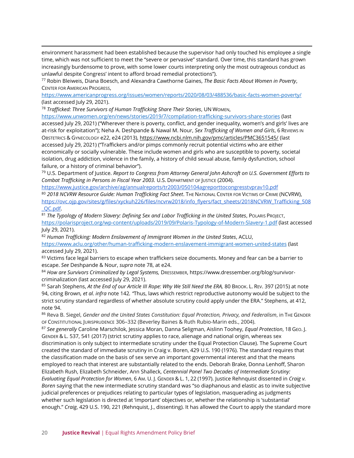environment harassment had been established because the supervisor had only touched his employee a single time, which was not sufficient to meet the "severe or pervasive" standard. Over time, this standard has grown increasingly burdensome to prove, with some lower courts interpreting only the most outrageous conduct as unlawful despite Congress' intent to afford broad remedial protections").

<sup>77</sup> Robin Bleiweis, Diana Boesch, and Alexandra Cawthorne Gaines, *The Basic Facts About Women in Poverty*, CENTER FOR AMERICAN PROGRESS,

[https://www.americanprogress.org/issues/women/reports/2020/08/03/488536/basic-facts-women-poverty/](about:blank) (last accessed July 29, 2021).

<sup>78</sup> *Trafficked: Three Survivors of Human Trafficking Share Their Stories*, UN WOMEN,

[https://www.unwomen.org/en/news/stories/2019/7/compilation-trafficking-survivors-share-stories](about:blank) (last accessed July 29, 2021) ("Wherever there is poverty, conflict, and gender inequality, women's and girls' lives are at-risk for exploitation"); Neha A. Deshpande & Nawal M. Nour, *Sex Trafficking of Women and Girls*, 6 REVIEWS IN OBSTETRICS & GYNECOLOGY e22, e24 (2013)[, https://www.ncbi.nlm.nih.gov/pmc/articles/PMC3651545/](https://www.ncbi.nlm.nih.gov/pmc/articles/PMC3651545/) (last accessed July 29, 2021) ("Traffickers and/or pimps commonly recruit potential victims who are either economically or socially vulnerable. These include women and girls who are susceptible to poverty, societal isolation, drug addiction, violence in the family, a history of child sexual abuse, family dysfunction, school failure, or a history of criminal behavior").

<sup>79</sup> U.S. Department of Justice. *Report to Congress from Attorney General John Ashcroft on U.S. Government Efforts to Combat Trafficking in Persons in Fiscal Year 2003.* U.S. DEPARTMENT OF JUSTICE (2004).

<https://www.justice.gov/archive/ag/annualreports/tr2003/050104agreporttocongresstvprav10.pdf>

<sup>80</sup> *2018 NCVRW Resource Guide: Human Trafficking Fact Sheet*. THE NATIONAL CENTER FOR VICTIMS OF CRIME (NCVRW), [https://ovc.ojp.gov/sites/g/files/xyckuh226/files/ncvrw2018/info\\_flyers/fact\\_sheets/2018NCVRW\\_Trafficking\\_508](about:blank) [\\_QC.pdf.](about:blank)

<sup>81</sup> *The Typology of Modern Slavery: Defining Sex and Labor Trafficking in the United States*, POLARIS PROJECT, [https://polarisproject.org/wp-content/uploads/2019/09/Polaris-Typology-of-Modern-Slavery-1.pdf](about:blank) (last accessed July 29, 2021).

<sup>82</sup> *Human Trafficking: Modern Enslavement of Immigrant Women in the United States*, ACLU, [https://www.aclu.org/other/human-trafficking-modern-enslavement-immigrant-women-united-states](about:blank) (last accessed July 29, 2021).

83 Victims face legal barriers to escape when traffickers seize documents. Money and fear can be a barrier to escape. *See* Deshpande & Nour, *supra* note 78, at e24.

84 How are Survivors Criminalized by Legal Systems, DRESSEMBER, https://www.dressember.org/blog/survivorcriminalization (last accessed July 29, 2021).

85 Sarah Stephens, At the End of our Article III Rope: Why We Still Need the ERA, 80 Brook. L. Rev. 397 (2015) at note 94, citing Brown*, et al. infra* note 142*. "*Thus, laws which restrict reproductive autonomy would be subject to the strict scrutiny standard regardless of whether absolute scrutiny could apply under the ERA." Stephens, at 412, note 94.

<sup>86</sup> Reva B. Siegel, *Gender and the United States Constitution: Equal Protection, Privacy, and Federalism*, in THE GENDER OF CONSTITUTIONAL JURISPRUDENCE 306–332 (Beverley Baines & Ruth Rubio-Marin eds., 2004).

<sup>87</sup> *See generally* Caroline Marschilok, Jessica Moran, Danna Seligman, Aislinn Toohey, *Equal Protection*, 18 GEO. J. GENDER & L. 537, 541 (2017) (strict scrutiny applies to race, alienage and national origin, whereas sex discrimination is only subject to intermediate scrutiny under the Equal Protection Clause). The Supreme Court created the standard of immediate scrutiny in Craig v. Boren, 429 U.S. 190 (1976). The standard requires that the classification made on the basis of sex serve an important governmental interest and that the means employed to reach that interest are substantially related to the ends. Deborah Brake, Donna Lenhoff, Sharon Elizabeth Rush, Elizabeth Schneider, Ann Shalleck, *Centennial Panel Two Decades of Intermediate Scrutiny: Evaluating Equal Protection for Women*, 6 AM. U. J. GENDER & L. 1, 22 (1997). Justice Rehnquist dissented in *Craig v. Boren* saying that the new intermediate scrutiny standard was "so diaphanous and elastic as to invite subjective judicial preferences or prejudices relating to particular types of legislation, masquerading as judgments whether such legislation is directed at 'important' objectives or, whether the relationship is 'substantial' enough." *Craig*, 429 U.S. 190, 221 (Rehnquist, J., dissenting). It has allowed the Court to apply the standard more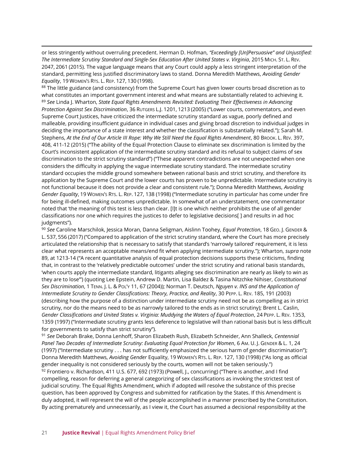or less stringently without overruling precedent. Herman D. Hofman, *"Exceedingly [Un]Persuasive" and Unjustified: The Intermediate Scrutiny Standard and Single-Sex Education After United States v. Virginia*, 2015 MICH. ST. L. REV. 2047, 2061 (2015). The vague language means that any Court could apply a less stringent interpretation of the standard, permitting less justified discriminatory laws to stand. Donna Meredith Matthews, *Avoiding Gender Equality*, 19 WOMEN'S RTS. L. REP. 127, 130 (1998).

88 The little guidance (and consistency) from the Supreme Court has given lower courts broad discretion as to what constitutes an important government interest and what means are substantially related to achieving it. <sup>89</sup> *See* Linda J. Wharton, *State Equal Rights Amendments Revisited: Evaluating Their Effectiveness in Advancing Protection Against Sex Discrimination*, 36 RUTGERS L.J. 1201, 1213 (2005) ("Lower courts, commentators, and even Supreme Court Justices, have criticized the intermediate scrutiny standard as vague, poorly defined and malleable, providing insufficient guidance in individual cases and giving broad discretion to individual judges in deciding the importance of a state interest and whether the classification is substantially related."); Sarah M. Stephens, *At the End of Our Article III Rope: Why We Still Need the Equal Rights Amendment*, 80 BROOK. L. REV. 397, 408, 411-12 (2015) ("The ability of the Equal Protection Clause to eliminate sex discrimination is limited by the Court's inconsistent application of the intermediate scrutiny standard and its refusal to subject claims of sex discrimination to the strict scrutiny standard") ("These apparent contradictions are not unexpected when one considers the difficulty in applying the vague intermediate scrutiny standard. The intermediate scrutiny standard occupies the middle ground somewhere between rational basis and strict scrutiny, and therefore its application by the Supreme Court and the lower courts has proven to be unpredictable. Intermediate scrutiny is not functional because it does not provide a clear and consistent rule."); Donna Meredith Matthews, *Avoiding Gender Equality*, 19 WOMEN'S RTS. L. REP. 127, 138 (1998) ("Intermediate scrutiny in particular has come under fire for being ill-defined, making outcomes unpredictable. In somewhat of an understatement, one commentator noted that 'the meaning of this test is less than clear. [I]t is one which neither prohibits the use of all gender classifications nor one which requires the justices to defer to legislative decisions[ ] and results in ad hoc judgments").

<sup>90</sup> *See* Caroline Marschilok, Jessica Moran, Danna Seligman, Aislinn Toohey, *Equal Protection*, 18 GEO. J. GENDER & L. 537, 556 (2017) ("Compared to application of the strict scrutiny standard, where the Court has more precisely articulated the relationship that is necessary to satisfy that standard's 'narrowly tailored' requirement, it is less clear what represents an acceptable means/end fit when applying intermediate scrutiny."); Wharton, *supra* note 89, at 1213-14 ("A recent quantitative analysis of equal protection decisions supports these criticisms, finding that, in contrast to the 'relatively predictable outcomes' under the strict scrutiny and rational basis standards, 'when courts apply the intermediate standard, litigants alleging sex discrimination are nearly as likely to win as they are to lose'") (quoting Lee Epstein, Andrew D. Martin, Lisa Baldez & Tasina Nitzchke Nihiser, *Constitutional Sex Discrimination*, 1 TENN. J. L. & POL'Y 11, 67 (2004)); Norman T. Deutsch, *Nguyen v. INS and the Application of Intermediate Scrutiny to Gender Classifications: Theory, Practice, and Reality*, 30 PEPP. L. REV. 185, 191 (2003) (describing how the purpose of a distinction under intermediate scrutiny need not be as compelling as in strict scrutiny, nor do the means need to be as narrowly tailored to the ends as in strict scrutiny); Brent L. Caslin, *Gender Classifications and United States v. Virginia: Muddying the Waters of Equal Protection*, 24 PEPP. L. REV. 1353, 1359 (1997) ("Intermediate scrutiny grants less deference to legislative will than rational basis but is less difficult for governments to satisfy than strict scrutiny").

<sup>91</sup> *See* Deborah Brake, Donna Lenhoff, Sharon Elizabeth Rush, Elizabeth Schneider, Ann Shalleck, *Centennial Panel Two Decades of Intermediate Scrutiny: Evaluating Equal Protection for Women*, 6 AM. U. J. GENDER & L. 1, 24 (1997) ("Intermediate scrutiny . . . has not sufficiently emphasized the serious harm of gender discrimination"); Donna Meredith Matthews, *Avoiding Gender* Equality, 19 WOMEN'S RTS. L. REP. 127, 130 (1998) ("As long as official gender inequality is not considered seriously by the courts, women will not be taken seriously.")

92 Frontiero v. Richardson, 411 U.S. 677, 692 (1973) (Powell, J., concurring) ("There is another, and I find compelling, reason for deferring a general categorizing of sex classifications as invoking the strictest test of judicial scrutiny. The Equal Rights Amendment, which if adopted will resolve the substance of this precise question, has been approved by Congress and submitted for ratification by the States. If this Amendment is duly adopted, it will represent the will of the people accomplished in a manner prescribed by the Constitution. By acting prematurely and unnecessarily, as I view it, the Court has assumed a decisional responsibility at the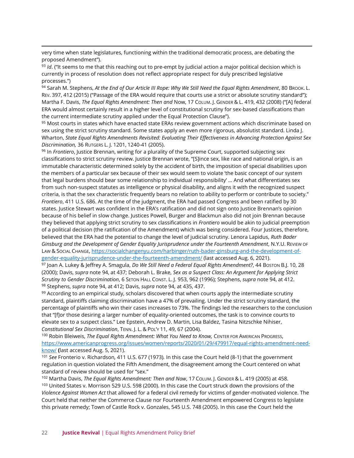very time when state legislatures, functioning within the traditional democratic process, are debating the proposed Amendment").

93 *Id*. ("It seems to me that this reaching out to pre-empt by judicial action a major political decision which is currently in process of resolution does not reflect appropriate respect for duly prescribed legislative processes.")

94 Sarah M. Stephens, At the End of Our Article III Rope: Why We Still Need the Equal Rights Amendment, 80 BROOK. L. REV. 397, 412 (2015) ("Passage of the ERA would require that courts use a strict or absolute scrutiny standard"); Martha F. Davis, *The Equal Rights Amendment: Then and* Now, 17 COLUM. J. GENDER & L. 419, 432 (2008) ("[A] federal ERA would almost certainly result in a higher level of constitutional scrutiny for sex-based classifications than the current intermediate scrutiny applied under the Equal Protection Clause").

95 Most courts in states which have enacted state ERAs review government actions which discriminate based on sex using the strict scrutiny standard. Some states apply an even more rigorous, absolutist standard. Linda J. Wharton, *State Equal Rights Amendments Revisited: Evaluating Their Effectiveness in Advancing Protection Against Sex Discrimination,* 36 RUTGERS L. J. 1201, 1240-41 (2005).

<sup>96</sup> In *Frontiero*, Justice Brennan, writing for a plurality of the Supreme Court, supported subjecting sex classifications to strict scrutiny review. Justice Brennan wrote, "[S]ince sex, like race and national origin, is an immutable characteristic determined solely by the accident of birth, the imposition of special disabilities upon the members of a particular sex because of their sex would seem to violate 'the basic concept of our system that legal burdens should bear some relationship to individual responsibility' … And what differentiates sex from such non-suspect statutes as intelligence or physical disability, and aligns it with the recognized suspect criteria, is that the sex characteristic frequently bears no relation to ability to perform or contribute to society." *Frontiero*, 411 U.S. 686. At the time of the judgment, the ERA had passed Congress and been ratified by 30 states. Justice Stewart was confident in the ERA's ratification and did not sign onto Justice Brennan's opinion because of his belief in slow change. Justices Powell, Burger and Blackmun also did not join Brennan because they believed that applying strict scrutiny to sex classifications in *Frontiero* would be akin to judicial preemption of a political decision (the ratification of the Amendment) which was being considered. Four Justices, therefore, believed that the ERA had the potential to change the level of judicial scrutiny. Lenora Lapidus, *Ruth Bader Ginsburg and the Development of Gender Equality Jurisprudence under the Fourteenth Amendment*, N.Y.U. REVIEW OF LAW & SOCIAL CHANGE, [https://socialchangenyu.com/harbinger/ruth-bader-ginsburg-and-the-development-of](about:blank)[gender-equality-jurisprudence-under-the-fourteenth-amendment/](about:blank) (last accessed Aug. 6, 2021).

<sup>97</sup> Joan A. Lukey & Jeffrey A. Smagula, *Do We Still Need a Federal Equal Rights Amendment?*, 44 BOSTON B.J. 10, 28 (2000); Davis, *supra* note 94, at 437; Deborah L. Brake, *Sex as a Suspect Class: An Argument for Applying Strict Scrutiny to Gender Discrimination*, 6 SETON HALL CONST. L. J. 953, 962 (1996); Stephens, *supra* note 94, at 412. <sup>98</sup> Stephens, *supra* note 94, at 412; Davis, *supra* note 94, at 435, 437.

 $99$  According to an empirical study, scholars discovered that when courts apply the intermediate scrutiny standard, plaintiffs claiming discrimination have a 47% of prevailing. Under the strict scrutiny standard, the percentage of plaintiffs who win their cases increases to 73%. The findings led the researchers to the conclusion that "[f]or those desiring a larger number of equality-oriented outcomes, the task is to convince courts to elevate sex to a suspect class." Lee Epstein, Andrew D. Martin, Lisa Baldez, Tasina Nitzschke Nihiser, *Constitutional Sex Discrimination*, TENN. J. L. & POL'Y 11, 49, 67 (2004).

<sup>100</sup> Robin Bleiweis, *The Equal Rights Amendment: What You Need to Know, CENTER FOR AMERICAN PROGRESS,* [https://www.americanprogress.org/issues/women/reports/2020/01/29/479917/equal-rights-amendment-need](about:blank)[know/](about:blank) **(**last accessed Aug. 5, 2021).

<sup>101</sup> *See* Fronterio v. Richardson*,* 411 U.S. 677 (1973)*.* In this case the Court held (8-1) that the government regulation in question violated the Fifth Amendment, the disagreement among the Court centered on what standard of review should be used for "sex."

<sup>102</sup> Martha Davis, *The Equal Rights Amendment: Then and Now*, 17 COLUM. J. GENDER & L. 419 (2005) at 458. 103 United States v. Morrison 529 U.S. 598 (2000). In this case the Court struck down the provisions of the *Violence Against Women Act* that allowed for a federal civil remedy for victims of gender-motivated violence. The Court held that neither the Commerce Clause nor Fourteenth Amendment empowered Congress to legislate this private remedy; Town of Castle Rock v. Gonzales, 545 U.S. 748 (2005). In this case the Court held the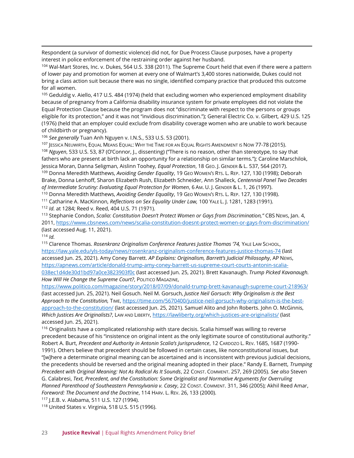Respondent (a survivor of domestic violence) did not, for Due Process Clause purposes, have a property interest in police enforcement of the restraining order against her husband.

104 Wal-Mart Stores, Inc. v. Dukes, 564 U.S. 338 (2011). The Supreme Court held that even if there were a pattern of lower pay and promotion for women at every one of Walmart's 3,400 stores nationwide, Dukes could not bring a class action suit because there was no single, identified company practice that produced this outcome for all women.

<sup>105</sup> Geduldig v. Aiello, 417 U.S. 484 (1974) (held that excluding women who experienced employment disability because of pregnancy from a California disability insurance system for private employees did not violate the Equal Protection Clause because the program does not "discriminate with respect to the persons or groups eligible for its protection," and it was not "invidious discrimination."); General Electric Co. v. Gilbert*,* 429 U.S. 125 (1976) (held that an employer could exclude from disability coverage women who are unable to work because of childbirth or pregnancy).

<sup>106</sup> *See generally* Tuan Anh Nguyen v. I.N.S*.*, 533 U.S. 53 (2001).

107 JESSICA NEUWIRTH, EQUAL MEANS EQUAL: WHY THE TIME FOR AN EQUAL RIGHTS AMENDMENT IS NOW 77-78 (2015).

<sup>108</sup> *Nguyen*, 533 U.S. 53, 87 (O'Connor, J., dissenting) ("There is no reason, other than stereotype, to say that fathers who are present at birth lack an opportunity for a relationship on similar terms."); Caroline Marschilok, Jessica Moran, Danna Seligman, Aislinn Toohey, *Equal Protection*, 18 GEO. J. GENDER & L. 537, 564 (2017). <sup>109</sup> Donna Meredith Matthews, *Avoiding Gender Equality*, 19 GEO WOMEN'S RTS. L. REP. 127, 130 (1998); Deborah

Brake, Donna Lenhoff, Sharon Elizabeth Rush, Elizabeth Schneider, Ann Shalleck, *Centennial Panel Two Decades of Intermediate Scrutiny: Evaluating Equal Protection for Women*, 6 AM. U. J. GENDER & L. 1, 26 (1997).

<sup>110</sup> Donna Meredith Matthews, *Avoiding Gender Equality*, 19 GEO WOMEN'S RTS. L. REP. 127, 130 (1998).

<sup>111</sup> Catharine A. MacKinnon, *Reflections on Sex Equality Under Law,* 100 YALE L. J. 1281, 1283 (1991).

<sup>112</sup> *Id.* at 1284; Reed v. Reed, 404 U.S. 71 (1971).

<sup>113</sup> Stephanie Condon, *Scalia: Constitution Doesn't Protect Women or Gays from Discrimination,"* CBS NEWS, Jan. 4, 2011,<https://www.cbsnews.com/news/scalia-constitution-doesnt-protect-women-or-gays-from-discrimination/> (last accessed Aug. 11, 2021).

<sup>114</sup> *Id.*

115 Clarence Thomas. *Rosenkranz Originalism Conference Features Justice Thomas '74*, YALE LAW SCHOOL, [https://law.yale.edu/yls-today/news/rosenkranz-originalism-conference-features-justice-thomas-74](about:blank) (last accessed Jun. 25, 2021). Amy Coney Barrett. *AP Explains: Originalism, Barrett's Judicial Philosophy*, AP NEWS, [https://apnews.com/article/donald-trump-amy-coney-barrett-us-supreme-court-courts-antonin-scalia-](about:blank)[038ec1d4de30d1bd97a0ce3823903f0c](about:blank) (last accessed Jun. 25, 2021). Brett Kavanaugh. *Trump Picked Kavanaugh. How Will He Change the Supreme Court?*, POLITICO MAGAZINE,

[https://www.politico.com/magazine/story/2018/07/09/donald-trump-brett-kavanaugh-supreme-court-218963/](about:blank) (last accessed Jun. 25, 2021). Neil Gosuch. Neil M. Gorsuch, *Justice Neil Gorsuch: Why Originalism is the Best Approach to the Constitution,* TIME, [https://time.com/5670400/justice-neil-gorsuch-why-originalism-is-the-best](about:blank)[approach-to-the-constitution/](about:blank) (last accessed Jun. 25, 2021). Samuel Alito and John Roberts. John O. McGinnis, *Which Justices Are Originalists?*, LAW AND LIBERTY, [https://lawliberty.org/which-justices-are-originalists/](about:blank) (last accessed Jun. 25, 2021).

<sup>116</sup> Originalists have a complicated relationship with stare decisis. Scalia himself was willing to reverse precedent because of his "insistence on original intent as the only legitimate source of constitutional authority." Robert A. Burt, Precedent and Authority in Antonin Scalia's Jurisprudence, 12 CARDOZO L. REV. 1685, 1687 (1990-1991). Others believe that precedent should be followed in certain cases, like nonconstitutional issues, but "[w]here a determinate original meaning can be ascertained and is inconsistent with previous judicial decisions, the precedents should be reversed and the original meaning adopted in their place." Randy E. Barnett, *Trumping Precedent with Original Meaning: Not As Radical As It Sounds*, 22 CONST. COMMENT. 257, 269 (2005). *See also* Steven G. Calabresi, *Text, Precedent, and the Constitution: Some Originalist and Normative Arguments for Overruling Planned Parenthood of Southeastern Pennsylvania v. Casey*, 22 CONST. COMMENT. 311, 346 (2005); Akhil Reed Amar, *Foreword: The Document and the Doctrine*, 114 HARV. L. REV. 26, 133 (2000).

<sup>117</sup> J.E.B. v. Alabama, 511 U.S. 127 (1994).

<sup>118</sup> United States v. Virginia, 518 U.S. 515 (1996).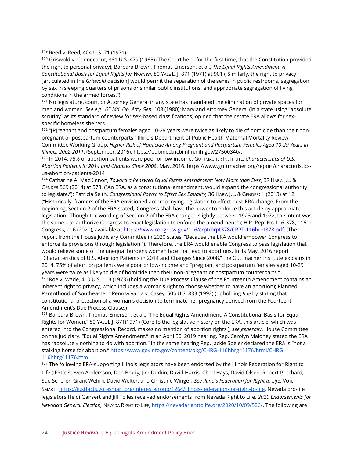<sup>121</sup> No legislature, court, or Attorney General in any state has mandated the elimination of private spaces for men and women. *See e.g*., *65 Md. Op. Att'y Gen.* 108 (1980); Maryland Attorney General (in a state using "absolute scrutiny" as its standard of review for sex-based classifications) opined that their state ERA allows for sexspecific homeless shelters.

<sup>122</sup> "[P]regnant and postpartum females aged 10-29 years were twice as likely to die of homicide than their nonpregnant or postpartum counterparts." Illinois Department of Public Health Maternal Mortality Review Committee Working Group. *Higher Risk of Homicide Among Pregnant and Postpartum Females Aged 10-29 Years in Illinois, 2002-2011*. (September, 2016). https://pubmed.ncbi.nlm.nih.gov/27500340/.

<sup>123</sup> In 2014, 75% of abortion patients were poor or low-income. GUTTMACHER INSTITUTE. *Characteristics of U.S. Abortion Patients in 2014 and Changes Since 2008*. May, 2016. https://www.guttmacher.org/report/characteristicsus-abortion-patients-2014

<sup>124</sup> Catharine A. MacKinnon, *Toward a Renewed Equal Rights Amendment: Now More than Ever*, 37 HARV. J.L. & GENDER 569 (2014) at 578. ("An ERA, as a constitutional amendment, would expand the congressional authority to legislate."); Patricia Seith, *Congressional Power to Effect Sex Equality,* 36 HARV. J.L. & GENDER: 1 (2013) at 12. ("Historically, framers of the ERA envisioned accompanying legislation to effect post-ERA change. From the beginning, Section 2 of the ERA stated, 'Congress shall have the power to enforce this article by appropriate legislation.' Though the wording of Section 2 of the ERA changed slightly between 1923 and 1972, the intent was the same – to authorize Congress to enact legislation to enforce the amendment."); H.R. Rep No 116-378, 116th Congress, a[t](https://www.congress.gov/116/crpt/hrpt378/CRPT-116hrpt378.pdf) 6 (2020), available at [https://www.congress.gov/116/crpt/hrpt378/CRPT-116hrpt378.pdf.](about:blank) (The report from the House Judiciary Committee in 2020 states, "Because the ERA would empower Congress to enforce its provisions through legislation."). Therefore, the ERA would enable Congress to pass legislation that would relieve some of the unequal burdens women face that lead to abortions. In its May, 2016 report "Characteristics of U.S. Abortion Patients in 2014 and Changes Since 2008," the Guttmacher Institute explains in 2014, 75% of abortion patients were poor or low-income and "pregnant and postpartum females aged 10-29 years were twice as likely to die of homicide than their non-pregnant or postpartum counterparts." <sup>125</sup> Roe v. Wade, 410 U.S. 113 (1973) (holding the Due Process Clause of the Fourteenth Amendment contains an inherent right to privacy, which includes a woman's right to choose whether to have an abortion); Planned Parenthood of Southeastern Pennsylvania v. Casey, 505 U.S. 833 (1992) (upholding *Roe* by stating that constitutional protection of a woman's decision to terminate her pregnancy derived from the Fourteenth

Amendment's Due Process Clause.)

<sup>126</sup> Barbara Brown, Thomas Emerson, et al., "The Equal Rights Amendment: A Constitutional Basis for Equal Rights for Women," 80 YALE L.J. 871(1971) (Core to the legislative history on the ERA, this article, which was entered into the Congressional Record, makes no mention of abortion rights.); *see generally*, House Committee on the Judiciary. "Equal Rights Amendment." In an April 30, 2019 hearing, Rep. Carolyn Maloney stated the ERA has "absolutely nothing to do with abortion." In the same hearing Rep. Jackie Speier declared the ERA is "not a stalking horse for abortion." [https://www.govinfo.gov/content/pkg/CHRG-116hhrg41176/html/CHRG-](https://www.govinfo.gov/content/pkg/CHRG-116hhrg41176/html/CHRG-116hhrg41176.htm)[116hhrg41176.htm](https://www.govinfo.gov/content/pkg/CHRG-116hhrg41176/html/CHRG-116hhrg41176.htm)

<sup>127</sup> The following ERA-supporting Illinois legislators have been endorsed by the Illinois Federation for Right to Life (IFRL): Steven Andersson, Dan Brady, Jim Durkin, David Harris, Chad Hays, David Olsen, Robert Pritchard, Sue Scherer, Grant Wehrli, David Welter, and Christine Winger. *See Illinois Federation for Right to Life*, VOTE SMART, [https://justfacts.votesmart.org/interest-group/1264/illinois-federation-for-right-to-life.](https://justfacts.votesmart.org/interest-group/1264/illinois-federation-for-right-to-life) Nevada pro-life legislators Heidi Gansert and Jill Tolles received endorsements from Nevada Right to Life. *2020 Endorsements for Nevada's General Election,* NEVADA RIGHT TO LIFE, [https://nevadarighttolife.org/2020/10/09/526/.](about:blank) The following are

<sup>119</sup> Reed v. Reed, 404 U.S. 71 (1971).

<sup>120</sup> Griswold v. Connecticut, 381 U.S. 479 (1965) (The Court held, for the first time, that the Constitution provided the right to personal privacy); Barbara Brown, Thomas Emerson, et al., *The Equal Rights Amendment: A Constitutional Basis for Equal Rights for Women*, 80 YALE L. J. 871 (1971) at 901 ("Similarly, the right to privacy [articulated in the *Griswold* decision] would permit the separation of the sexes in public restrooms, segregation by sex in sleeping quarters of prisons or similar public institutions, and appropriate segregation of living conditions in the armed forces.")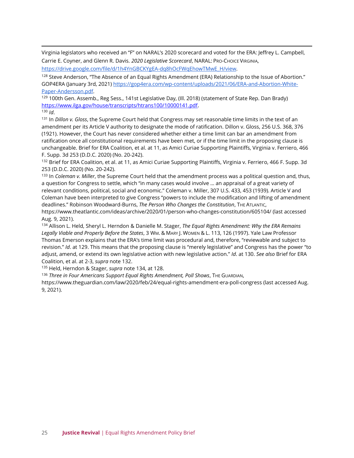Virginia legislators who received an "F" on NARAL's 2020 scorecard and voted for the ERA: Jeffrey L. Campbell, Carrie E. Coyner, and Glenn R. Davis. *2020 Legislative Scorecard*, NARAL: PRO-CHOICE VIRGINIA,

[https://drive.google.com/file/d/1h4YnGBCKYgEA-dq8hOcFWqEhowTMwE\\_H/view.](about:blank)

<sup>128</sup> Steve Anderson, "The Absence of an Equal Rights Amendment (ERA) Relationship to the Issue of Abortion." GOP4ERA (January 3rd, 2021) [https://gop4era.com/wp-content/uploads/2021/06/ERA-and-Abortion-White-](about:blank)[Paper-Andersson.pdf.](about:blank)

129 100th Gen. Assemb., Reg Sess., 141st Legislative Day, (Ill. 2018) (statement of State Rep. Dan Brady) [https://www.ilga.gov/house/transcripts/htrans100/10000141.pdf.](https://www.ilga.gov/house/transcripts/htrans100/10000141.pdf)

<sup>130</sup> *Id*.

<sup>131</sup> In *Dillon v. Gloss*, the Supreme Court held that Congress may set reasonable time limits in the text of an amendment per its Article V authority to designate the mode of ratification. Dillon v. Gloss, 256 U.S. 368, 376 (1921). However, the Court has never considered whether either a time limit can bar an amendment from ratification once all constitutional requirements have been met, or if the time limit in the proposing clause is unchangeable. Brief for ERA Coalition, et al. at 11, as Amici Curiae Supporting Plaintiffs, Virginia v. Ferriero, 466 F. Supp. 3d 253 (D.D.C. 2020) (No. 20-242).

132 Brief for ERA Coalition, et al. at 11, as Amici Curiae Supporting Plaintiffs, Virginia v. Ferriero, 466 F. Supp. 3d 253 (D.D.C. 2020) (No. 20-242).

<sup>133</sup> In *Coleman v. Miller*, the Supreme Court held that the amendment process was a political question and, thus, a question for Congress to settle, which "in many cases would involve … an appraisal of a great variety of relevant conditions, political, social and economic." Coleman v. Miller, 307 U.S. 433, 453 (1939). Article V and Coleman have been interpreted to give Congress "powers to include the modification and lifting of amendment deadlines." Robinson Woodward-Burns, *The Person Who Changes the Constitution*, THE ATLANTIC,

[https://www.theatlantic.com/ideas/archive/2020/01/person-who-changes-constitution/605104/](about:blank) (last accessed Aug. 9, 2021).

<sup>134</sup> Allison L. Held, Sheryl L. Herndon & Danielle M. Stager, *The Equal Rights Amendment: Why the ERA Remains Legally Viable and Properly Before the States*, 3 WM. & MARY J. WOMEN & L. 113, 126 (1997). Yale Law Professor Thomas Emerson explains that the ERA's time limit was procedural and, therefore, "reviewable and subject to revision." *Id*. at 129. This means that the proposing clause is "merely legislative" and Congress has the power "to adjust, amend, or extend its own legislative action with new legislative action." *Id*. at 130. *See also* Brief for ERA Coalition, et al. at 2-3, *supra* note 132.

<sup>135</sup> Held, Herndon & Stager, *supra* note 134, at 128.

<sup>136</sup> *Three in Four Americans Support Equal Rights Amendment, Poll Shows*, THE GUARDIAN,

[https://www.theguardian.com/law/2020/feb/24/equal-rights-amendment-era-poll-congress](about:blank) (last accessed Aug. 9, 2021).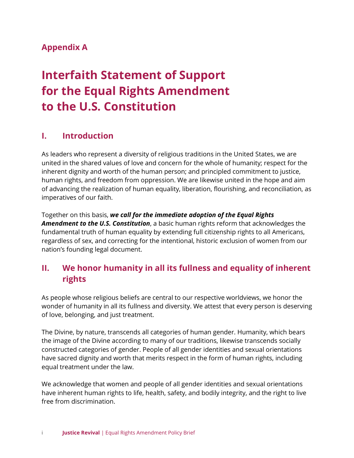#### **[Appendix A](https://justicerevival.org/support-the-era/)**

# **[Interfaith Statement of Support](https://justicerevival.org/support-the-era/) [for the Equal Rights Amendment](https://justicerevival.org/support-the-era/) [to the U.S. Constitution](https://justicerevival.org/support-the-era/)**

#### **I. Introduction**

As leaders who represent a diversity of religious traditions in the United States, we are united in the shared values of love and concern for the whole of humanity; respect for the inherent dignity and worth of the human person; and principled commitment to justice, human rights, and freedom from oppression. We are likewise united in the hope and aim of advancing the realization of human equality, liberation, flourishing, and reconciliation, as imperatives of our faith.

Together on this basis, *we call for the immediate adoption of the Equal Rights Amendment to the U.S. Constitution*, a basic human rights reform that acknowledges the fundamental truth of human equality by extending full citizenship rights to all Americans, regardless of sex, and correcting for the intentional, historic exclusion of women from our nation's founding legal document.

#### **II. We honor humanity in all its fullness and equality of inherent rights**

As people whose religious beliefs are central to our respective worldviews, we honor the wonder of humanity in all its fullness and diversity. We attest that every person is deserving of love, belonging, and just treatment.

The Divine, by nature, transcends all categories of human gender. Humanity, which bears the image of the Divine according to many of our traditions, likewise transcends socially constructed categories of gender. People of all gender identities and sexual orientations have sacred dignity and worth that merits respect in the form of human rights, including equal treatment under the law.

We acknowledge that women and people of all gender identities and sexual orientations have inherent human rights to life, health, safety, and bodily integrity, and the right to live free from discrimination.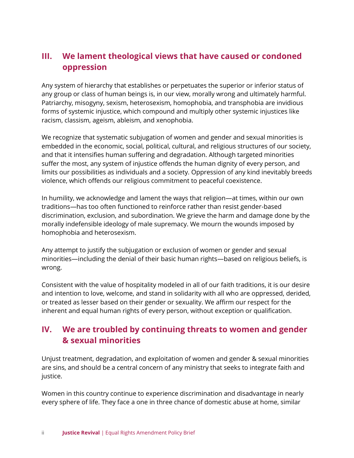### **III. We lament theological views that have caused or condoned oppression**

Any system of hierarchy that establishes or perpetuates the superior or inferior status of any group or class of human beings is, in our view, morally wrong and ultimately harmful. Patriarchy, misogyny, sexism, heterosexism, homophobia, and transphobia are invidious forms of systemic injustice, which compound and multiply other systemic injustices like racism, classism, ageism, ableism, and xenophobia.

We recognize that systematic subjugation of women and gender and sexual minorities is embedded in the economic, social, political, cultural, and religious structures of our society, and that it intensifies human suffering and degradation. Although targeted minorities suffer the most, any system of injustice offends the human dignity of every person, and limits our possibilities as individuals and a society. Oppression of any kind inevitably breeds violence, which offends our religious commitment to peaceful coexistence.

In humility, we acknowledge and lament the ways that religion—at times, within our own traditions—has too often functioned to reinforce rather than resist gender-based discrimination, exclusion, and subordination. We grieve the harm and damage done by the morally indefensible ideology of male supremacy. We mourn the wounds imposed by homophobia and heterosexism.

Any attempt to justify the subjugation or exclusion of women or gender and sexual minorities—including the denial of their basic human rights—based on religious beliefs, is wrong.

Consistent with the value of hospitality modeled in all of our faith traditions, it is our desire and intention to love, welcome, and stand in solidarity with all who are oppressed, derided, or treated as lesser based on their gender or sexuality. We affirm our respect for the inherent and equal human rights of every person, without exception or qualification.

## **IV. We are troubled by continuing threats to women and gender & sexual minorities**

Unjust treatment, degradation, and exploitation of women and gender & sexual minorities are sins, and should be a central concern of any ministry that seeks to integrate faith and justice.

Women in this country continue to experience discrimination and disadvantage in nearly every sphere of life. They face a one in three chance of domestic abuse at home, similar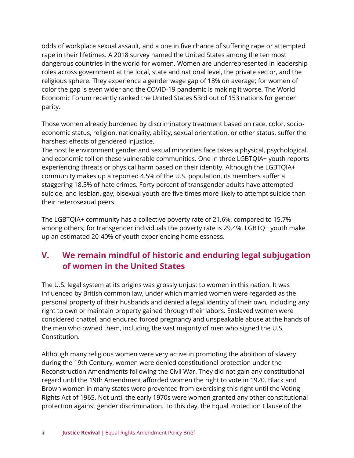odds of workplace sexual assault, and a one in five chance of suffering rape or attempted rape in their lifetimes. A 2018 survey named the United States among the ten most dangerous countries in the world for women. Women are underrepresented in leadership roles across government at the local, state and national level, the private sector, and the religious sphere. They experience a gender wage gap of 18% on average; for women of color the gap is even wider and the COVID-19 pandemic is making it worse. The World Economic Forum recently ranked the United States 53rd out of 153 nations for gender parity.

Those women already burdened by discriminatory treatment based on race, color, socioeconomic status, religion, nationality, ability, sexual orientation, or other status, suffer the harshest effects of gendered injustice.

The hostile environment gender and sexual minorities face takes a physical, psychological, and economic toll on these vulnerable communities. One in three LGBTQIA+ youth reports experiencing threats or physical harm based on their identity. Although the LGBTQIA+ community makes up a reported 4.5% of the U.S. population, its members suffer a staggering 18.5% of hate crimes. Forty percent of transgender adults have attempted suicide, and lesbian, gay, bisexual youth are five times more likely to attempt suicide than their heterosexual peers.

The LGBTQIA+ community has a collective poverty rate of 21.6%, compared to 15.7% among others; for transgender individuals the poverty rate is 29.4%. LGBTQ+ youth make up an estimated 20-40% of youth experiencing homelessness.

# **V. We remain mindful of historic and enduring legal subjugation of women in the United States**

The U.S. legal system at its origins was grossly unjust to women in this nation. It was influenced by British common law, under which married women were regarded as the personal property of their husbands and denied a legal identity of their own, including any right to own or maintain property gained through their labors. Enslaved women were considered chattel, and endured forced pregnancy and unspeakable abuse at the hands of the men who owned them, including the vast majority of men who signed the U.S. Constitution.

Although many religious women were very active in promoting the abolition of slavery during the 19th Century, women were denied constitutional protection under the Reconstruction Amendments following the Civil War. They did not gain any constitutional regard until the 19th Amendment afforded women the right to vote in 1920. Black and Brown women in many states were prevented from exercising this right until the Voting Rights Act of 1965. Not until the early 1970s were women granted any other constitutional protection against gender discrimination. To this day, the Equal Protection Clause of the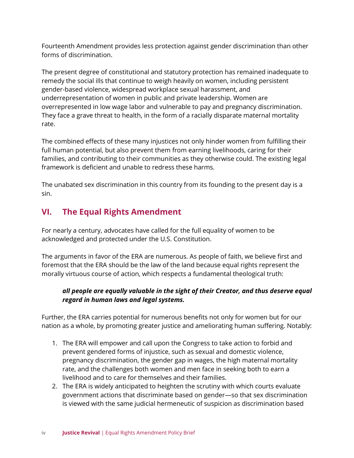Fourteenth Amendment provides less protection against gender discrimination than other forms of discrimination.

The present degree of constitutional and statutory protection has remained inadequate to remedy the social ills that continue to weigh heavily on women, including persistent gender-based violence, widespread workplace sexual harassment, and underrepresentation of women in public and private leadership. Women are overrepresented in low wage labor and vulnerable to pay and pregnancy discrimination. They face a grave threat to health, in the form of a racially disparate maternal mortality rate.

The combined effects of these many injustices not only hinder women from fulfilling their full human potential, but also prevent them from earning livelihoods, caring for their families, and contributing to their communities as they otherwise could. The existing legal framework is deficient and unable to redress these harms.

The unabated sex discrimination in this country from its founding to the present day is a sin.

# **VI. The Equal Rights Amendment**

For nearly a century, advocates have called for the full equality of women to be acknowledged and protected under the U.S. Constitution.

The arguments in favor of the ERA are numerous. As people of faith, we believe first and foremost that the ERA should be the law of the land because equal rights represent the morally virtuous course of action, which respects a fundamental theological truth:

#### *all people are equally valuable in the sight of their Creator, and thus deserve equal regard in human laws and legal systems.*

Further, the ERA carries potential for numerous benefits not only for women but for our nation as a whole, by promoting greater justice and ameliorating human suffering. Notably:

- 1. The ERA will empower and call upon the Congress to take action to forbid and prevent gendered forms of injustice, such as sexual and domestic violence, pregnancy discrimination, the gender gap in wages, the high maternal mortality rate, and the challenges both women and men face in seeking both to earn a livelihood and to care for themselves and their families.
- 2. The ERA is widely anticipated to heighten the scrutiny with which courts evaluate government actions that discriminate based on gender—so that sex discrimination is viewed with the same judicial hermeneutic of suspicion as discrimination based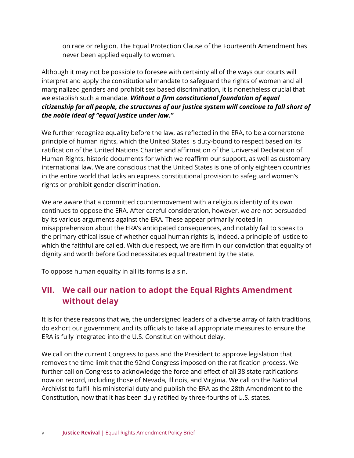on race or religion. The Equal Protection Clause of the Fourteenth Amendment has never been applied equally to women.

Although it may not be possible to foresee with certainty all of the ways our courts will interpret and apply the constitutional mandate to safeguard the rights of women and all marginalized genders and prohibit sex based discrimination, it is nonetheless crucial that we establish such a mandate. *Without a firm constitutional foundation of equal citizenship for all people, the structures of our justice system will continue to fall short of the noble ideal of "equal justice under law."*

We further recognize equality before the law, as reflected in the ERA, to be a cornerstone principle of human rights, which the United States is duty-bound to respect based on its ratification of the United Nations Charter and affirmation of the Universal Declaration of Human Rights, historic documents for which we reaffirm our support, as well as customary international law. We are conscious that the United States is one of only eighteen countries in the entire world that lacks an express constitutional provision to safeguard women's rights or prohibit gender discrimination.

We are aware that a committed countermovement with a religious identity of its own continues to oppose the ERA. After careful consideration, however, we are not persuaded by its various arguments against the ERA. These appear primarily rooted in misapprehension about the ERA's anticipated consequences, and notably fail to speak to the primary ethical issue of whether equal human rights is, indeed, a principle of justice to which the faithful are called. With due respect, we are firm in our conviction that equality of dignity and worth before God necessitates equal treatment by the state.

To oppose human equality in all its forms is a sin.

## **VII. We call our nation to adopt the Equal Rights Amendment without delay**

It is for these reasons that we, the undersigned leaders of a diverse array of faith traditions, do exhort our government and its officials to take all appropriate measures to ensure the ERA is fully integrated into the U.S. Constitution without delay.

We call on the current Congress to pass and the President to approve legislation that removes the time limit that the 92nd Congress imposed on the ratification process. We further call on Congress to acknowledge the force and effect of all 38 state ratifications now on record, including those of Nevada, Illinois, and Virginia. We call on the National Archivist to fulfill his ministerial duty and publish the ERA as the 28th Amendment to the Constitution, now that it has been duly ratified by three-fourths of U.S. states.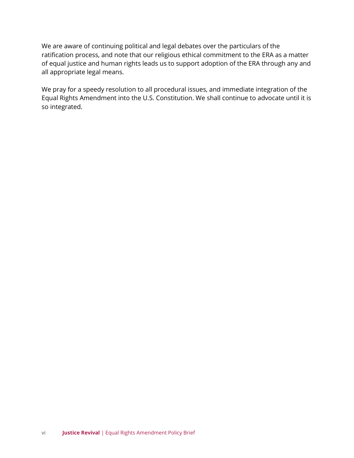We are aware of continuing political and legal debates over the particulars of the ratification process, and note that our religious ethical commitment to the ERA as a matter of equal justice and human rights leads us to support adoption of the ERA through any and all appropriate legal means.

We pray for a speedy resolution to all procedural issues, and immediate integration of the Equal Rights Amendment into the U.S. Constitution. We shall continue to advocate until it is so integrated.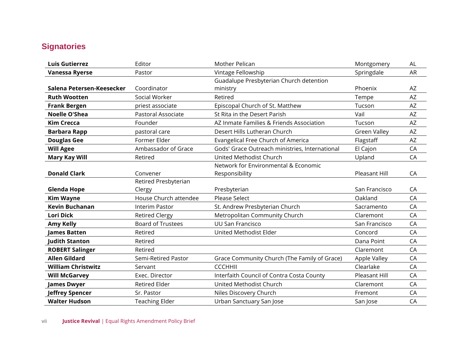# **Signatories**

| <b>Luis Gutierrez</b>     | Editor                   | Mother Pelican                                 | Montgomery          | AL        |
|---------------------------|--------------------------|------------------------------------------------|---------------------|-----------|
| <b>Vanessa Ryerse</b>     | Pastor                   | Vintage Fellowship                             | Springdale          | <b>AR</b> |
|                           |                          | Guadalupe Presbyterian Church detention        |                     |           |
| Salena Petersen-Keesecker | Coordinator              | ministry                                       | Phoenix             | AZ        |
| <b>Ruth Wootten</b>       | Social Worker            | Retired                                        | Tempe               | AZ        |
| <b>Frank Bergen</b>       | priest associate         | Episcopal Church of St. Matthew                | Tucson              | AZ        |
| <b>Noelle O'Shea</b>      | Pastoral Associate       | St Rita in the Desert Parish                   | Vail                | AZ        |
| <b>Kim Crecca</b>         | Founder                  | AZ Inmate Families & Friends Association       | Tucson              | AZ        |
| <b>Barbara Rapp</b>       | pastoral care            | Desert Hills Lutheran Church                   | <b>Green Valley</b> | AZ        |
| <b>Douglas Gee</b>        | Former Elder             | Evangelical Free Church of America             | Flagstaff           | AZ        |
| <b>Will Agee</b>          | Ambassador of Grace      | Gods' Grace Outreach ministries, International | El Cajon            | CA        |
| <b>Mary Kay Will</b>      | Retired                  | United Methodist Church                        | Upland              | CA        |
|                           |                          | Network for Environmental & Economic           |                     |           |
| <b>Donald Clark</b>       | Convener                 | Responsibility                                 | Pleasant Hill       | CA        |
|                           | Retired Presbyterian     |                                                |                     |           |
| <b>Glenda Hope</b>        | Clergy                   | Presbyterian                                   | San Francisco       | CA        |
| <b>Kim Wayne</b>          | House Church attendee    | <b>Please Select</b>                           | Oakland             | CA        |
| <b>Kevin Buchanan</b>     | Interim Pastor           | St. Andrew Presbyterian Church                 | Sacramento          | CA        |
| <b>Lori Dick</b>          | <b>Retired Clergy</b>    | Metropolitan Community Church                  | Claremont           | CA        |
| <b>Amy Kelly</b>          | <b>Board of Trustees</b> | <b>UU San Francisco</b>                        | San Francisco       | CA        |
| <b>James Batten</b>       | Retired                  | United Methodist Elder                         | Concord             | CA        |
| <b>Judith Stanton</b>     | Retired                  |                                                | Dana Point          | CA        |
| <b>ROBERT Salinger</b>    | Retired                  |                                                | Claremont           | CA        |
| <b>Allen Gildard</b>      | Semi-Retired Pastor      | Grace Community Church (The Family of Grace)   | Apple Valley        | CA        |
| <b>William Christwitz</b> | Servant                  | <b>CCCHHII</b>                                 | Clearlake           | CA        |
| <b>Will McGarvey</b>      | Exec. Director           | Interfaith Council of Contra Costa County      | Pleasant Hill       | CA        |
| <b>James Dwyer</b>        | <b>Retired Elder</b>     | United Methodist Church                        | Claremont           | CA        |
| Jeffrey Spencer           | Sr. Pastor               | Niles Discovery Church                         | Fremont             | CA        |
| <b>Walter Hudson</b>      | <b>Teaching Elder</b>    | Urban Sanctuary San Jose                       | San Jose            | CA        |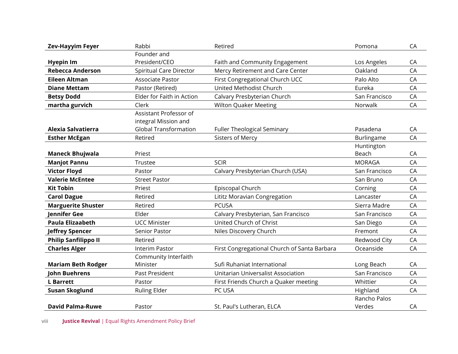| <b>Zev-Hayyim Feyer</b>     | Rabbi                        | Retired                                      | Pomona        | CA |
|-----------------------------|------------------------------|----------------------------------------------|---------------|----|
|                             | Founder and                  |                                              |               |    |
| <b>Hyepin Im</b>            | President/CEO                | Faith and Community Engagement               | Los Angeles   | CA |
| <b>Rebecca Anderson</b>     | Spiritual Care Director      | Mercy Retirement and Care Center             | Oakland       | CA |
| <b>Eileen Altman</b>        | <b>Associate Pastor</b>      | First Congregational Church UCC              | Palo Alto     | CA |
| <b>Diane Mettam</b>         | Pastor (Retired)             | United Methodist Church                      | Eureka        | CA |
| <b>Betsy Dodd</b>           | Elder for Faith in Action    | Calvary Presbyterian Church                  | San Francisco | CA |
| martha gurvich              | Clerk                        | <b>Wilton Quaker Meeting</b>                 | Norwalk       | CA |
|                             | Assistant Professor of       |                                              |               |    |
|                             | integral Mission and         |                                              |               |    |
| Alexia Salvatierra          | <b>Global Transformation</b> | <b>Fuller Theological Seminary</b>           | Pasadena      | CA |
| <b>Esther McEgan</b>        | Retired                      | <b>Sisters of Mercy</b>                      | Burlingame    | CA |
|                             |                              |                                              | Huntington    |    |
| <b>Maneck Bhujwala</b>      | Priest                       |                                              | Beach         | CA |
| <b>Manjot Pannu</b>         | Trustee                      | <b>SCIR</b>                                  | <b>MORAGA</b> | CA |
| <b>Victor Floyd</b>         | Pastor                       | Calvary Presbyterian Church (USA)            | San Francisco | CA |
| <b>Valerie McEntee</b>      | <b>Street Pastor</b>         |                                              | San Bruno     | CA |
| <b>Kit Tobin</b>            | Priest                       | Episcopal Church                             | Corning       | CA |
| <b>Carol Dague</b>          | Retired                      | Lititz Moravian Congregation                 | Lancaster     | CA |
| <b>Marguerite Shuster</b>   | Retired                      | <b>PCUSA</b>                                 | Sierra Madre  | CA |
| Jennifer Gee                | Elder                        | Calvary Presbyterian, San Francisco          | San Francisco | CA |
| <b>Paula Elizaabeth</b>     | <b>UCC Minister</b>          | United Church of Christ                      | San Diego     | CA |
| <b>Jeffrey Spencer</b>      | Senior Pastor                | Niles Discovery Church                       | Fremont       | CA |
| <b>Philip Sanfilippo II</b> | Retired                      |                                              | Redwood City  | CA |
| <b>Charles Alger</b>        | <b>Interim Pastor</b>        | First Congregational Church of Santa Barbara | Oceanside     | CA |
|                             | Community Interfaith         |                                              |               |    |
| <b>Mariam Beth Rodger</b>   | Minister                     | Sufi Ruhaniat International                  | Long Beach    | CA |
| John Buehrens               | Past President               | Unitarian Universalist Association           | San Francisco | CA |
| <b>L</b> Barrett            | Pastor                       | First Friends Church a Quaker meeting        | Whittier      | CA |
| <b>Susan Skoglund</b>       | <b>Ruling Elder</b>          | PC USA                                       | Highland      | CA |
|                             |                              |                                              | Rancho Palos  |    |
| <b>David Palma-Ruwe</b>     | Pastor                       | St. Paul's Lutheran, ELCA                    | Verdes        | CA |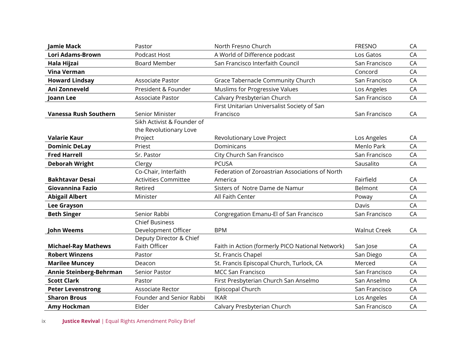| Jamie Mack                   | Pastor                      | North Fresno Church                              | <b>FRESNO</b>       | CA |
|------------------------------|-----------------------------|--------------------------------------------------|---------------------|----|
| Lori Adams-Brown             | Podcast Host                | A World of Difference podcast                    | Los Gatos           | CA |
| Hala Hijzai                  | <b>Board Member</b>         | San Francisco Interfaith Council                 | San Francisco       | CA |
| Vina Verman                  |                             |                                                  | Concord             | CA |
| <b>Howard Lindsay</b>        | Associate Pastor            | Grace Tabernacle Community Church                | San Francisco       | CA |
| Ani Zonneveld                | President & Founder         | Muslims for Progressive Values                   | Los Angeles         | CA |
| Joann Lee                    | Associate Pastor            | Calvary Presbyterian Church                      | San Francisco       | CA |
|                              |                             | First Unitarian Universalist Society of San      |                     |    |
| <b>Vanessa Rush Southern</b> | Senior Minister             | Francisco                                        | San Francisco       | CA |
|                              | Sikh Activist & Founder of  |                                                  |                     |    |
|                              | the Revolutionary Love      |                                                  |                     |    |
| <b>Valarie Kaur</b>          | Project                     | Revolutionary Love Project                       | Los Angeles         | CA |
| <b>Dominic DeLay</b>         | Priest                      | Dominicans                                       | Menlo Park          | CA |
| <b>Fred Harrell</b>          | Sr. Pastor                  | City Church San Francisco                        | San Francisco       | CA |
| <b>Deborah Wright</b>        | Clergy                      | <b>PCUSA</b>                                     | Sausalito           | CA |
|                              | Co-Chair, Interfaith        | Federation of Zoroastrian Associations of North  |                     |    |
| <b>Bakhtavar Desai</b>       | <b>Activities Committee</b> | America                                          | Fairfield           | CA |
| Giovannina Fazio             | Retired                     | Sisters of Notre Dame de Namur                   | Belmont             | CA |
| <b>Abigail Albert</b>        | Minister                    | All Faith Center                                 | Poway               | CA |
| <b>Lee Grayson</b>           |                             |                                                  | Davis               | CA |
| <b>Beth Singer</b>           | Senior Rabbi                | Congregation Emanu-El of San Francisco           | San Francisco       | CA |
|                              | <b>Chief Business</b>       |                                                  |                     |    |
| John Weems                   | Development Officer         | <b>BPM</b>                                       | <b>Walnut Creek</b> | CA |
|                              | Deputy Director & Chief     |                                                  |                     |    |
| <b>Michael-Ray Mathews</b>   | Faith Officer               | Faith in Action (formerly PICO National Network) | San Jose            | CA |
| <b>Robert Winzens</b>        | Pastor                      | St. Francis Chapel                               | San Diego           | CA |
| <b>Marilee Muncey</b>        | Deacon                      | St. Francis Episcopal Church, Turlock, CA        | Merced              | CA |
| Annie Steinberg-Behrman      | Senior Pastor               | <b>MCC San Francisco</b>                         | San Francisco       | CA |
| <b>Scott Clark</b>           | Pastor                      | First Presbyterian Church San Anselmo            | San Anselmo         | CA |
| <b>Peter Levenstrong</b>     | Associate Rector            | Episcopal Church                                 | San Francisco       | CA |
| <b>Sharon Brous</b>          | Founder and Senior Rabbi    | <b>IKAR</b>                                      | Los Angeles         | CA |
| Amy Hockman                  | Elder                       | Calvary Presbyterian Church                      | San Francisco       | CA |

ix **Justice Revival** | Equal Rights Amendment Policy Brief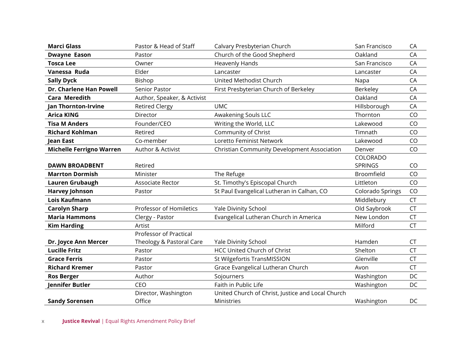| <b>Marci Glass</b>              | Pastor & Head of Staff      | Calvary Presbyterian Church                       | San Francisco    | CA        |
|---------------------------------|-----------------------------|---------------------------------------------------|------------------|-----------|
| <b>Dwayne Eason</b>             | Pastor                      | Church of the Good Shepherd                       | Oakland          | CA        |
| <b>Tosca Lee</b>                | Owner                       | <b>Heavenly Hands</b>                             | San Francisco    | CA        |
| Vanessa Ruda                    | Elder                       | Lancaster                                         | Lancaster        | CA        |
| <b>Sally Dyck</b>               | Bishop                      | United Methodist Church                           | Napa             | CA        |
| Dr. Charlene Han Powell         | Senior Pastor               | First Presbyterian Church of Berkeley             | Berkeley         | CA        |
| <b>Cara Meredith</b>            | Author, Speaker, & Activist |                                                   | Oakland          | CA        |
| <b>Jan Thornton-Irvine</b>      | <b>Retired Clergy</b>       | <b>UMC</b>                                        | Hillsborough     | CA        |
| <b>Arica KING</b>               | Director                    | Awakening Souls LLC                               | Thornton         | CO        |
| <b>Tisa M Anders</b>            | Founder/CEO                 | Writing the World, LLC                            | Lakewood         | CO        |
| <b>Richard Kohlman</b>          | Retired                     | Community of Christ                               | Timnath          | CO        |
| Jean East                       | Co-member                   | Loretto Feminist Network                          | Lakewood         | CO        |
| <b>Michelle Ferrigno Warren</b> | Author & Activist           | Christian Community Development Association       | Denver           | CO        |
|                                 |                             |                                                   | COLORADO         |           |
| <b>DAWN BROADBENT</b>           | Retired                     |                                                   | <b>SPRINGS</b>   | CO        |
| <b>Marrton Dormish</b>          | Minister                    | The Refuge                                        | Broomfield       | CO        |
| Lauren Grubaugh                 | <b>Associate Rector</b>     | St. Timothy's Episcopal Church                    | Littleton        | CO        |
| <b>Harvey Johnson</b>           | Pastor                      | St Paul Evangelical Lutheran in Calhan, CO        | Colorado Springs | CO        |
| Lois Kaufmann                   |                             |                                                   | Middlebury       | <b>CT</b> |
| <b>Carolyn Sharp</b>            | Professor of Homiletics     | <b>Yale Divinity School</b>                       | Old Saybrook     | <b>CT</b> |
| <b>Maria Hammons</b>            | Clergy - Pastor             | Evangelical Lutheran Church in America            | New London       | <b>CT</b> |
| <b>Kim Harding</b>              | Artist                      |                                                   | Milford          | <b>CT</b> |
|                                 | Professor of Practical      |                                                   |                  |           |
| Dr. Joyce Ann Mercer            | Theology & Pastoral Care    | Yale Divinity School                              | Hamden           | <b>CT</b> |
| <b>Lucille Fritz</b>            | Pastor                      | <b>HCC United Church of Christ</b>                | Shelton          | <b>CT</b> |
| <b>Grace Ferris</b>             | Pastor                      | St Wilgefortis TransMISSION                       | Glenville        | <b>CT</b> |
| <b>Richard Kremer</b>           | Pastor                      | Grace Evangelical Lutheran Church                 | Avon             | <b>CT</b> |
| <b>Ros Berger</b>               | Author                      | Sojourners                                        | Washington       | DC        |
| Jennifer Butler                 | CEO                         | Faith in Public Life                              | Washington       | DC        |
|                                 | Director, Washington        | United Church of Christ, Justice and Local Church |                  |           |
| <b>Sandy Sorensen</b>           | Office                      | Ministries                                        | Washington       | DC        |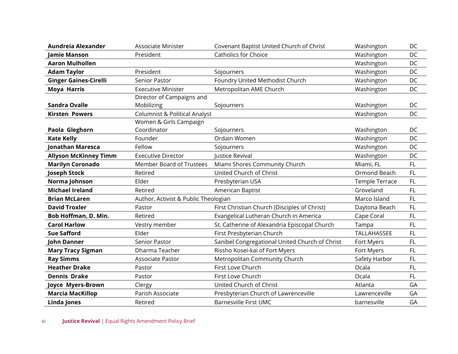| Aundreia Alexander           | <b>Associate Minister</b>                | Covenant Baptist United Church of Christ       | Washington            | DC  |
|------------------------------|------------------------------------------|------------------------------------------------|-----------------------|-----|
| Jamie Manson                 | President                                | <b>Catholics for Choice</b>                    | Washington            | DC  |
| <b>Aaron Mulhollen</b>       |                                          |                                                | Washington            | DC  |
| <b>Adam Taylor</b>           | President                                | Sojourners                                     | Washington            | DC  |
| <b>Ginger Gaines-Cirelli</b> | Senior Pastor                            | Foundry United Methodist Church                | Washington            | DC  |
| <b>Moya Harris</b>           | <b>Executive Minister</b>                | Metropolitan AME Church                        | Washington            | DC  |
|                              | Director of Campaigns and                |                                                |                       |     |
| Sandra Ovalle                | Mobilizing                               | Sojourners                                     | Washington            | DC  |
| <b>Kirsten Powers</b>        | <b>Columnist &amp; Political Analyst</b> |                                                | Washington            | DC  |
|                              | Women & Girls Campaign                   |                                                |                       |     |
| Paola Gleghorn               | Coordinator                              | Sojourners                                     | Washington            | DC  |
| <b>Kate Kelly</b>            | Founder                                  | Ordain Women                                   | Washington            | DC  |
| <b>Jonathan Maresca</b>      | Fellow                                   | Sojourners                                     | Washington            | DC  |
| <b>Allyson McKinney Timm</b> | <b>Executive Director</b>                | Justice Revival                                | Washington            | DC  |
| <b>Marilyn Coronado</b>      | Member Board of Trustees                 | Miami Shores Community Church                  | Miami, FL             | FL. |
| Joseph Stock                 | Retired                                  | United Church of Christ                        | Ormond Beach          | FL  |
| Norma Johnson                | Elder                                    | Presbyterian USA                               | <b>Temple Terrace</b> | FL. |
| <b>Michael Ireland</b>       | Retired                                  | American Baptist                               | Groveland             | FL  |
| <b>Brian McLaren</b>         | Author, Activist & Public Theologian     |                                                | Marco Island          | FL  |
| <b>David Troxler</b>         | Pastor                                   | First Christian Church (Disciples of Christ)   | Daytona Beach         | FL  |
| Bob Hoffman, D. Min.         | Retired                                  | Evangelical Lutheran Church in America         | Cape Coral            | FL  |
| <b>Carol Harlow</b>          | Vestry member                            | St. Catherine of Alexandria Episcopal Church   | Tampa                 | FL. |
| <b>Sue Safford</b>           | Elder                                    | First Presbyterian Church                      | TALLAHASSEE           | FL  |
| <b>John Danner</b>           | Senior Pastor                            | Sanibel Congregational United Church of Christ | Fort Myers            | FL  |
| <b>Mary Tracy Sigman</b>     | Dharma Teacher                           | Rissho Kosei-kai of Fort Myers                 | Fort Myers            | FL. |
| <b>Ray Simms</b>             | Associate Pastor                         | Metropolitan Community Church                  | Safety Harbor         | FL  |
| <b>Heather Drake</b>         | Pastor                                   | First Love Church                              | Ocala                 | FL. |
| <b>Dennis Drake</b>          | Pastor                                   | First Love Church                              | Ocala                 | FL. |
| Joyce Myers-Brown            | Clergy                                   | United Church of Christ                        | Atlanta               | GA  |
| <b>Marcia MacKillop</b>      | Parish Associate                         | Presbyterian Church of Lawrenceville           | Lawrenceville         | GA  |
| <b>Linda Jones</b>           | Retired                                  | <b>Barnesville First UMC</b>                   | barnesville           | GA  |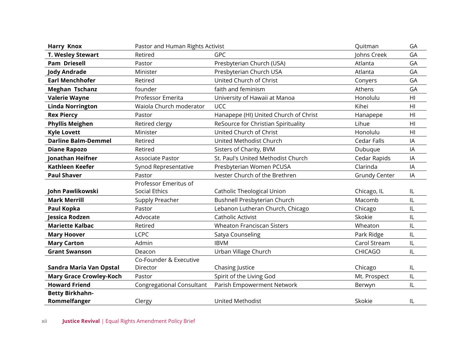| <b>Harry Knox</b>              | Pastor and Human Rights Activist |                                       | Quitman              | GA             |
|--------------------------------|----------------------------------|---------------------------------------|----------------------|----------------|
| T. Wesley Stewart              | Retired                          | <b>GPC</b>                            | Johns Creek          | GA             |
| <b>Pam Driesell</b>            | Pastor                           | Presbyterian Church (USA)             | Atlanta              | GA             |
| <b>Jody Andrade</b>            | Minister                         | Presbyterian Church USA               | Atlanta              | GA             |
| <b>Earl Menchhofer</b>         | Retired                          | United Church of Christ               | Conyers              | GA             |
| <b>Meghan Tschanz</b>          | founder                          | faith and feminism                    | Athens               | GA             |
| <b>Valerie Wayne</b>           | Professor Emerita                | University of Hawaii at Manoa         | Honolulu             | H <sub>l</sub> |
| <b>Linda Norrington</b>        | Waiola Church moderator          | <b>UCC</b>                            | Kihei                | HI             |
| <b>Rex Piercy</b>              | Pastor                           | Hanapepe (HI) United Church of Christ | Hanapepe             | H <sub>l</sub> |
| <b>Phyllis Meighen</b>         | Retired clergy                   | ReSource for Christian Spirituality   | Lihue                | H <sub>l</sub> |
| <b>Kyle Lovett</b>             | Minister                         | United Church of Christ               | Honolulu             | H <sub>l</sub> |
| <b>Darline Balm-Demmel</b>     | Retired                          | United Methodist Church               | Cedar Falls          | IA             |
| <b>Diane Rapozo</b>            | Retired                          | Sisters of Charity, BVM               | Dubuque              | IA             |
| Jonathan Heifner               | Associate Pastor                 | St. Paul's United Methodist Church    | Cedar Rapids         | IA             |
| <b>Kathleen Keefer</b>         | Synod Representative             | Presbyterian Women PCUSA              | Clarinda             | IA             |
| <b>Paul Shaver</b>             | Pastor                           | Ivester Church of the Brethren        | <b>Grundy Center</b> | IA             |
|                                | Professor Emeritus of            |                                       |                      |                |
| John Pawlikowski               | <b>Social Ethics</b>             | Catholic Theological Union            | Chicago, IL          | IL             |
| <b>Mark Merrill</b>            | Supply Preacher                  | Bushnell Presbyterian Church          | Macomb               | IL             |
| Paul Kopka                     | Pastor                           | Lebanon Lutheran Church, Chicago      | Chicago              | IL             |
| Jessica Rodzen                 | Advocate                         | <b>Catholic Activist</b>              | Skokie               | IL             |
| <b>Mariette Kalbac</b>         | Retired                          | <b>Wheaton Franciscan Sisters</b>     | Wheaton              | IL             |
| <b>Mary Hoover</b>             | <b>LCPC</b>                      | Satya Counseling                      | Park Ridge           | IL             |
| <b>Mary Carton</b>             | Admin                            | <b>IBVM</b>                           | Carol Stream         | $\sf IL$       |
| <b>Grant Swanson</b>           | Deacon                           | Urban Village Church                  | <b>CHICAGO</b>       | IL             |
|                                | Co-Founder & Executive           |                                       |                      |                |
| Sandra Maria Van Opstal        | Director                         | Chasing Justice                       | Chicago              | IL             |
| <b>Mary Grace Crowley-Koch</b> | Pastor                           | Spirit of the Living God              | Mt. Prospect         | $\sf IL$       |
| <b>Howard Friend</b>           | <b>Congregational Consultant</b> | Parish Empowerment Network            | Berwyn               | $\sf IL$       |
| <b>Betty Birkhahn-</b>         |                                  |                                       |                      |                |
| Rommelfanger                   | Clergy                           | <b>United Methodist</b>               | Skokie               | IL             |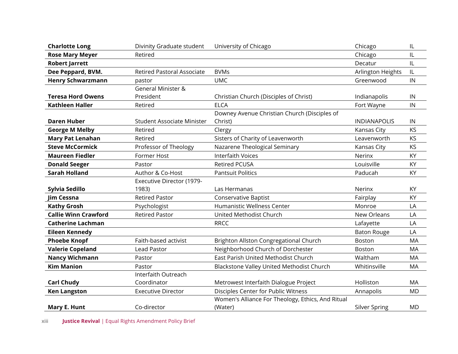| <b>Charlotte Long</b>       | Divinity Graduate student         | University of Chicago                             | Chicago             | IL         |
|-----------------------------|-----------------------------------|---------------------------------------------------|---------------------|------------|
| <b>Rose Mary Meyer</b>      | Retired                           |                                                   | Chicago             | IL         |
| <b>Robert Jarrett</b>       |                                   |                                                   | Decatur             | IL         |
| Dee Peppard, BVM.           | <b>Retired Pastoral Associate</b> | <b>BVMs</b>                                       | Arlington Heights   | IL         |
| <b>Henry Schwarzmann</b>    | pastor                            | <b>UMC</b>                                        | Greenwood           | IN         |
|                             | <b>General Minister &amp;</b>     |                                                   |                     |            |
| <b>Teresa Hord Owens</b>    | President                         | Christian Church (Disciples of Christ)            | Indianapolis        | ${\sf IN}$ |
| <b>Kathleen Haller</b>      | Retired                           | <b>ELCA</b>                                       | Fort Wayne          | IN         |
|                             |                                   | Downey Avenue Christian Church (Disciples of      |                     |            |
| <b>Daren Huber</b>          | <b>Student Associate Minister</b> | Christ)                                           | <b>INDIANAPOLIS</b> | IN         |
| <b>George M Melby</b>       | Retired                           | Clergy                                            | Kansas City         | KS         |
| <b>Mary Pat Lenahan</b>     | Retired                           | Sisters of Charity of Leavenworth                 | Leavenworth         | KS         |
| <b>Steve McCormick</b>      | Professor of Theology             | Nazarene Theological Seminary                     | Kansas City         | KS         |
| <b>Maureen Fiedler</b>      | Former Host                       | <b>Interfaith Voices</b>                          | Nerinx              | KY         |
| <b>Donald Seeger</b>        | Pastor                            | Retired PCUSA                                     | Louisville          | KY         |
| <b>Sarah Holland</b>        | Author & Co-Host                  | <b>Pantsuit Politics</b>                          | Paducah             | KY         |
|                             | Executive Director (1979-         |                                                   |                     |            |
| Sylvia Sedillo              | 1983)                             | Las Hermanas                                      | Nerinx              | KY         |
| Jim Cessna                  | <b>Retired Pastor</b>             | <b>Conservative Baptist</b>                       | Fairplay            | KY         |
| <b>Kathy Grosh</b>          | Psychologist                      | Humanistic Wellness Center                        | Monroe              | LA         |
| <b>Callie Winn Crawford</b> | <b>Retired Pastor</b>             | United Methodist Church                           | New Orleans         | LA         |
| <b>Catherine Lachman</b>    |                                   | <b>RRCC</b>                                       | Lafayette           | LA         |
| <b>Eileen Kennedy</b>       |                                   |                                                   | <b>Baton Rouge</b>  | LA         |
| <b>Phoebe Knopf</b>         | Faith-based activist              | Brighton Allston Congregational Church            | Boston              | MA         |
| <b>Valerie Copeland</b>     | Lead Pastor                       | Neighborhood Church of Dorchester                 | <b>Boston</b>       | MA         |
| <b>Nancy Wichmann</b>       | Pastor                            | East Parish United Methodist Church               | Waltham             | <b>MA</b>  |
| <b>Kim Manion</b>           | Pastor                            | Blackstone Valley United Methodist Church         | Whitinsville        | MA         |
|                             | Interfaith Outreach               |                                                   |                     |            |
| <b>Carl Chudy</b>           | Coordinator                       | Metrowest Interfaith Dialogue Project             | Holliston           | MA         |
| <b>Ken Langston</b>         | <b>Executive Director</b>         | Disciples Center for Public Witness               | Annapolis           | <b>MD</b>  |
|                             |                                   | Women's Alliance For Theology, Ethics, And Ritual |                     |            |
| Mary E. Hunt                | Co-director                       | (Water)                                           | Silver Spring       | <b>MD</b>  |

xiii **Justice Revival** | Equal Rights Amendment Policy Brief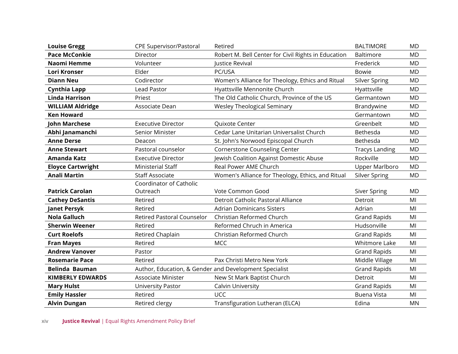| <b>Louise Gregg</b>      | <b>CPE Supervisor/Pastoral</b>    | Retired                                                | <b>BALTIMORE</b>      | <b>MD</b>      |
|--------------------------|-----------------------------------|--------------------------------------------------------|-----------------------|----------------|
| <b>Pace McConkie</b>     | Director                          | Robert M. Bell Center for Civil Rights in Education    | Baltimore             | <b>MD</b>      |
| Naomi Hemme              | Volunteer                         | Justice Revival                                        | Frederick             | <b>MD</b>      |
| <b>Lori Kronser</b>      | Elder                             | PC/USA                                                 | <b>Bowie</b>          | <b>MD</b>      |
| <b>Diann Neu</b>         | Codirector                        | Women's Alliance for Theology, Ethics and Ritual       | Silver Spring         | <b>MD</b>      |
| Cynthia Lapp             | <b>Lead Pastor</b>                | Hyattsville Mennonite Church                           | Hyattsville           | <b>MD</b>      |
| <b>Linda Harrison</b>    | Priest                            | The Old Catholic Church, Province of the US            | Germantown            | <b>MD</b>      |
| <b>WILLIAM Aldridge</b>  | Associate Dean                    | <b>Wesley Theological Seminary</b>                     | Brandywine            | <b>MD</b>      |
| <b>Ken Howard</b>        |                                   |                                                        | Germantown            | <b>MD</b>      |
| <b>John Marchese</b>     | <b>Executive Director</b>         | Quixote Center                                         | Greenbelt             | <b>MD</b>      |
| Abhi Janamanchi          | Senior Minister                   | Cedar Lane Unitarian Universalist Church               | Bethesda              | <b>MD</b>      |
| <b>Anne Derse</b>        | Deacon                            | St. John's Norwood Episcopal Church                    | Bethesda              | <b>MD</b>      |
| <b>Anne Stewart</b>      | Pastoral counselor                | <b>Cornerstone Counseling Center</b>                   | <b>Tracys Landing</b> | <b>MD</b>      |
| <b>Amanda Katz</b>       | <b>Executive Director</b>         | Jewish Coalition Against Domestic Abuse                | Rockville             | <b>MD</b>      |
| <b>Eloyce Cartwright</b> | Ministerial Staff                 | Real Power AME Church                                  | <b>Upper Marlboro</b> | <b>MD</b>      |
| <b>Anali Martin</b>      | <b>Staff Associate</b>            | Women's Alliance for Theology, Ethics, and Ritual      | Silver Spring         | <b>MD</b>      |
|                          | Coordinator of Catholic           |                                                        |                       |                |
| <b>Patrick Carolan</b>   | Outreach                          | Vote Common Good                                       | <b>Siver Spring</b>   | <b>MD</b>      |
| <b>Cathey DeSantis</b>   | Retired                           | Detroit Catholic Pastoral Alliance                     | Detroit               | MI             |
| <b>Janet Persyk</b>      | Retired                           | <b>Adrian Dominicans Sisters</b>                       | Adrian                | MI             |
| <b>Nola Galluch</b>      | <b>Retired Pastoral Counselor</b> | Christian Reformed Church                              | <b>Grand Rapids</b>   | MI             |
| <b>Sherwin Weener</b>    | Retired                           | Reformed Chruch in America                             | Hudsonville           | M <sub>l</sub> |
| <b>Curt Roelofs</b>      | Retired Chaplain                  | Christian Reformed Church                              | <b>Grand Rapids</b>   | MI             |
| <b>Fran Mayes</b>        | Retired                           | <b>MCC</b>                                             | Whitmore Lake         | MI             |
| <b>Andrew Vanover</b>    | Pastor                            |                                                        | <b>Grand Rapids</b>   | MI             |
| <b>Rosemarie Pace</b>    | Retired                           | Pax Christi Metro New York                             | Middle Village        | MI             |
| <b>Belinda Bauman</b>    |                                   | Author, Education, & Gender and Development Specialist | <b>Grand Rapids</b>   | M <sub>l</sub> |
| <b>KIMBERLY EDWARDS</b>  | <b>Associate Minister</b>         | New St Mark Baptist Church                             | Detroit               | MI             |
| <b>Mary Hulst</b>        | University Pastor                 | Calvin University                                      | <b>Grand Rapids</b>   | MI             |
| <b>Emily Hassler</b>     | Retired                           | <b>UCC</b>                                             | <b>Buena Vista</b>    | MI             |
| <b>Alvin Dungan</b>      | Retired clergy                    | Transfiguration Lutheran (ELCA)                        | Edina                 | <b>MN</b>      |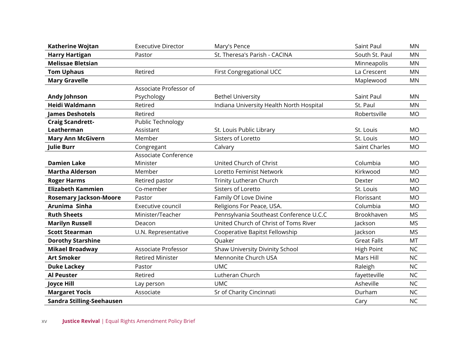| Katherine Wojtan              | <b>Executive Director</b>  | Mary's Pence                             | Saint Paul         | <b>MN</b> |
|-------------------------------|----------------------------|------------------------------------------|--------------------|-----------|
| <b>Harry Hartigan</b>         | Pastor                     | St. Theresa's Parish - CACINA            | South St. Paul     | <b>MN</b> |
| <b>Melissae Bletsian</b>      |                            |                                          | Minneapolis        | <b>MN</b> |
| <b>Tom Uphaus</b>             | Retired                    | First Congregational UCC                 | La Crescent        | <b>MN</b> |
| <b>Mary Gravelle</b>          |                            |                                          | Maplewood          | <b>MN</b> |
|                               | Associate Professor of     |                                          |                    |           |
| <b>Andy Johnson</b>           | Psychology                 | <b>Bethel University</b>                 | Saint Paul         | <b>MN</b> |
| Heidi Waldmann                | Retired                    | Indiana University Health North Hospital | St. Paul           | <b>MN</b> |
| <b>James Deshotels</b>        | Retired                    |                                          | Robertsville       | <b>MO</b> |
| <b>Craig Scandrett-</b>       | Public Technology          |                                          |                    |           |
| Leatherman                    | Assistant                  | St. Louis Public Library                 | St. Louis          | <b>MO</b> |
| <b>Mary Ann McGivern</b>      | Member                     | Sisters of Loretto                       | St. Louis          | <b>MO</b> |
| <b>Julie Burr</b>             | Congregant                 | Calvary                                  | Saint Charles      | <b>MO</b> |
|                               | Associate Conference       |                                          |                    |           |
| <b>Damien Lake</b>            | Minister                   | United Church of Christ                  | Columbia           | <b>MO</b> |
| <b>Martha Alderson</b>        | Member                     | Loretto Feminist Network                 | Kirkwood           | <b>MO</b> |
| <b>Roger Harms</b>            | Retired pastor             | Trinity Lutheran Church                  | Dexter             | <b>MO</b> |
| <b>Elizabeth Kammien</b>      | Co-member                  | Sisters of Loretto                       | St. Louis          | <b>MO</b> |
| <b>Rosemary Jackson-Moore</b> | Pastor                     | Family Of Love Divine                    | Florissant         | <b>MO</b> |
| Arunima Sinha                 | Executive council          | Religions For Peace, USA.                | Columbia           | <b>MO</b> |
| <b>Ruth Sheets</b>            | Minister/Teacher           | Pennsylvania Southeast Conference U.C.C  | Brookhaven         | <b>MS</b> |
| <b>Marilyn Russell</b>        | Deacon                     | United Church of Christ of Toms River    | lackson            | <b>MS</b> |
| <b>Scott Stearman</b>         | U.N. Representative        | Cooperative Bapitst Fellowship           | Jackson            | <b>MS</b> |
| <b>Dorothy Starshine</b>      |                            | <b>Ouaker</b>                            | <b>Great Falls</b> | <b>MT</b> |
| <b>Mikael Broadway</b>        | <b>Associate Professor</b> | Shaw University Divinity School          | <b>High Point</b>  | <b>NC</b> |
| <b>Art Smoker</b>             | <b>Retired Minister</b>    | Mennonite Church USA                     | Mars Hill          | <b>NC</b> |
| <b>Duke Lackey</b>            | Pastor                     | <b>UMC</b>                               | Raleigh            | <b>NC</b> |
| <b>Al Peuster</b>             | Retired                    | Lutheran Church                          | fayetteville       | <b>NC</b> |
| <b>Joyce Hill</b>             | Lay person                 | <b>UMC</b>                               | Asheville          | <b>NC</b> |
| <b>Margaret Yocis</b>         | Associate                  | Sr of Charity Cincinnati                 | Durham             | <b>NC</b> |
| Sandra Stilling-Seehausen     |                            |                                          | Cary               | <b>NC</b> |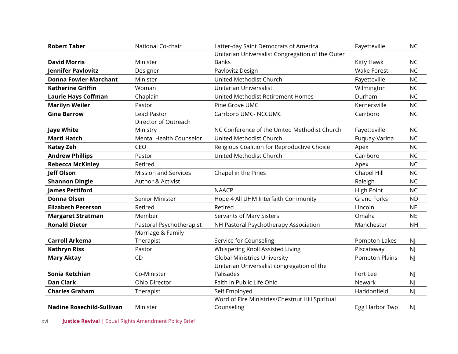| <b>Robert Taber</b>              | National Co-chair              | Latter-day Saint Democrats of America            | Fayetteville       | <b>NC</b> |
|----------------------------------|--------------------------------|--------------------------------------------------|--------------------|-----------|
|                                  |                                | Unitarian Universalist Congregation of the Outer |                    |           |
| <b>David Morris</b>              | Minister                       | <b>Banks</b>                                     | Kitty Hawk         | <b>NC</b> |
| <b>Jennifer Pavlovitz</b>        | Designer                       | Pavlovitz Design                                 | <b>Wake Forest</b> | <b>NC</b> |
| <b>Donna Fowler-Marchant</b>     | Minister                       | United Methodist Church                          | Fayetteville       | <b>NC</b> |
| <b>Katherine Griffin</b>         | Woman                          | Unitarian Universalist                           | Wilmington         | <b>NC</b> |
| <b>Laurie Hays Coffman</b>       | Chaplain                       | United Methodist Retirement Homes                | Durham             | <b>NC</b> |
| <b>Marilyn Weiler</b>            | Pastor                         | Pine Grove UMC                                   | Kernersville       | <b>NC</b> |
| <b>Gina Barrow</b>               | <b>Lead Pastor</b>             | Carrboro UMC- NCCUMC                             | Carrboro           | <b>NC</b> |
|                                  | Director of Outreach           |                                                  |                    |           |
| <b>Jaye White</b>                | Ministry                       | NC Conference of the United Methodist Church     | Fayetteville       | <b>NC</b> |
| <b>Marti Hatch</b>               | <b>Mental Health Counselor</b> | United Methodist Church                          | Fuquay-Varina      | <b>NC</b> |
| <b>Katey Zeh</b>                 | CEO                            | Religious Coalition for Reproductive Choice      | Apex               | <b>NC</b> |
| <b>Andrew Phillips</b>           | Pastor                         | United Methodist Church                          | Carrboro           | <b>NC</b> |
| <b>Rebecca McKinley</b>          | Retired                        |                                                  | Apex               | <b>NC</b> |
| <b>Jeff Olson</b>                | <b>Mission and Services</b>    | Chapel in the Pines                              | Chapel Hill        | <b>NC</b> |
| <b>Shannon Dingle</b>            | Author & Activist              |                                                  | Raleigh            | <b>NC</b> |
| <b>James Pettiford</b>           |                                | <b>NAACP</b>                                     | <b>High Point</b>  | <b>NC</b> |
| <b>Donna Olsen</b>               | Senior Minister                | Hope 4 All UHM Interfaith Community              | <b>Grand Forks</b> | <b>ND</b> |
| <b>Elizabeth Peterson</b>        | Retired                        | Retired                                          | Lincoln            | <b>NE</b> |
| <b>Margaret Stratman</b>         | Member                         | Servants of Mary Sisters                         | Omaha              | <b>NE</b> |
| <b>Ronald Dieter</b>             | Pastoral Psychotherapist       | NH Pastoral Psychotherapy Association            | Manchester         | <b>NH</b> |
|                                  | Marriage & Family              |                                                  |                    |           |
| <b>Carroll Arkema</b>            | Therapist                      | Service for Counseling                           | Pompton Lakes      | <b>NJ</b> |
| <b>Kathryn Riss</b>              | Pastor                         | Whispering Knoll Assisted Living                 | Piscataway         | <b>NJ</b> |
| <b>Mary Aktay</b>                | CD                             | <b>Global Ministries University</b>              | Pompton Plains     | <b>NJ</b> |
|                                  |                                | Unitarian Universalist congregation of the       |                    |           |
| Sonia Ketchian                   | Co-Minister                    | Palisades                                        | Fort Lee           | <b>NJ</b> |
| <b>Dan Clark</b>                 | Ohio Director                  | Faith in Public Life Ohio                        | Newark             | <b>NJ</b> |
| <b>Charles Graham</b>            | Therapist                      | Self Employed                                    | Haddonfield        | <b>NJ</b> |
|                                  |                                | Word of Fire Ministries/Chestnut Hill Spiritual  |                    |           |
| <b>Nadine Rosechild-Sullivan</b> | Minister                       | Counseling                                       | Egg Harbor Twp     | NJ        |

xvi **Justice Revival** | Equal Rights Amendment Policy Brief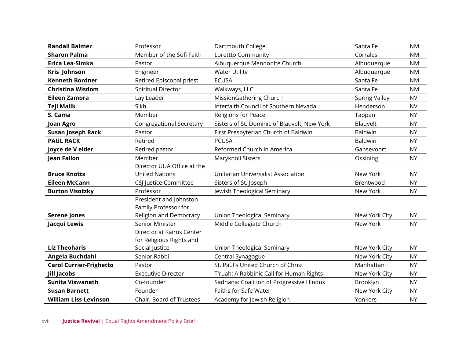| <b>Randall Balmer</b>          | Professor                       | Dartmouth College                            | Santa Fe             | <b>NM</b> |
|--------------------------------|---------------------------------|----------------------------------------------|----------------------|-----------|
| <b>Sharon Palma</b>            | Member of the Sufi Faith        | Lorettto Community                           | Corrales             | <b>NM</b> |
| Erica Lea-Simka                | Pastor                          | Albuquerque Mennonite Church                 | Albuquerque          | <b>NM</b> |
| Kris Johnson                   | Engineer                        | <b>Water Utility</b>                         | Albuquerque          | <b>NM</b> |
| <b>Kenneth Bordner</b>         | Retired Episcopal priest        | <b>ECUSA</b>                                 | Santa Fe             | <b>NM</b> |
| <b>Christina Wisdom</b>        | <b>Spiritual Director</b>       | Walkways, LLC                                | Santa Fe             | <b>NM</b> |
| <b>Eileen Zamora</b>           | Lay Leader                      | MissionGathering Church                      | <b>Spring Valley</b> | <b>NV</b> |
| <b>Teji Malik</b>              | Sikh                            | Interfaith Council of Southern Nevada        | Henderson            | <b>NV</b> |
| S. Cama                        | Member                          | <b>Religions for Peace</b>                   | Tappan               | <b>NY</b> |
| <b>Joan Agro</b>               | <b>Congregational Secretary</b> | Sisters of St. Dominic of Blauvelt, New York | Blauvelt             | <b>NY</b> |
| <b>Susan Joseph Rack</b>       | Pastor                          | First Presbyterian Church of Baldwin         | Baldwin              | <b>NY</b> |
| <b>PAUL RACK</b>               | Retired                         | <b>PCUSA</b>                                 | Baldwin              | <b>NY</b> |
| Joyce de V elder               | Retired pastor                  | Reformed Church in America                   | Gansevoort           | <b>NY</b> |
| <b>Jean Fallon</b>             | Member                          | Maryknoll Sisters                            | Ossining             | <b>NY</b> |
|                                | Director UUA Office at the      |                                              |                      |           |
| <b>Bruce Knotts</b>            | <b>United Nations</b>           | Unitarian Universalist Association           | New York             | <b>NY</b> |
| <b>Eileen McCann</b>           | CSJ Justice Committee           | Sisters of St. Joseph                        | Brentwood            | <b>NY</b> |
| <b>Burton Visotzky</b>         | Professor                       | Jewish Theological Seminary                  | New York             | <b>NY</b> |
|                                | President and Johnston          |                                              |                      |           |
|                                | Family Professor for            |                                              |                      |           |
| <b>Serene Jones</b>            | Religion and Democracy          | <b>Union Theological Seminary</b>            | New York City        | <b>NY</b> |
| Jacqui Lewis                   | Senior Minister                 | Middle Collegiate Church                     | New York             | <b>NY</b> |
|                                | Director at Kairos Center       |                                              |                      |           |
|                                | for Religious Rights and        |                                              |                      |           |
| <b>Liz Theoharis</b>           | Social Justice                  | Union Theological Seminary                   | New York City        | <b>NY</b> |
| Angela Buchdahl                | Senior Rabbi                    | Central Synagogue                            | New York City        | <b>NY</b> |
| <b>Carol Currier-Frighetto</b> | Pastor                          | St. Paul's United Church of Christ           | Manhattan            | <b>NY</b> |
| Jill Jacobs                    | <b>Executive Director</b>       | T'ruah: A Rabbinic Call for Human Rights     | New York City        | <b>NY</b> |
| <b>Sunita Viswanath</b>        | Co-founder                      | Sadhana: Coalition of Progressive Hindus     | Brooklyn             | <b>NY</b> |
| <b>Susan Barnett</b>           | Founder                         | Faiths for Safe Water                        | New York City        | <b>NY</b> |
| <b>William Liss-Levinson</b>   | Chair, Board of Trustees        | Academy for Jewish Religion                  | Yonkers              | <b>NY</b> |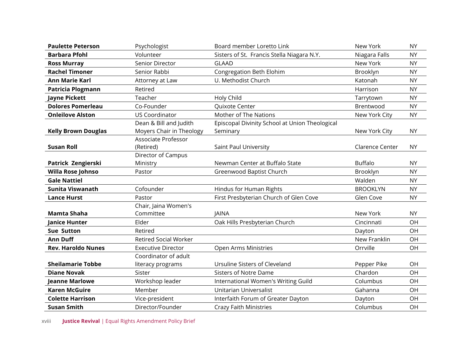| <b>Paulette Peterson</b>   | Psychologist                 | Board member Loretto Link                      | New York               | <b>NY</b> |
|----------------------------|------------------------------|------------------------------------------------|------------------------|-----------|
| <b>Barbara Pfohl</b>       | Volunteer                    | Sisters of St. Francis Stella Niagara N.Y.     | Niagara Falls          | <b>NY</b> |
| <b>Ross Murray</b>         | Senior Director              | <b>GLAAD</b>                                   | New York               | <b>NY</b> |
| <b>Rachel Timoner</b>      | Senior Rabbi                 | Congregation Beth Elohim                       | Brooklyn               | <b>NY</b> |
| <b>Ann Marie Karl</b>      | Attorney at Law              | U. Methodist Church                            | Katonah                | <b>NY</b> |
| <b>Patricia Plogmann</b>   | Retired                      |                                                | Harrison               | <b>NY</b> |
| <b>Jayne Pickett</b>       | Teacher                      | Holy Child                                     | Tarrytown              | <b>NY</b> |
| <b>Dolores Pomerleau</b>   | Co-Founder                   | Quixote Center                                 | Brentwood              | <b>NY</b> |
| <b>Onleilove Alston</b>    | <b>US Coordinator</b>        | Mother of The Nations                          | New York City          | <b>NY</b> |
|                            | Dean & Bill and Judith       | Episcopal Divinity School at Union Theological |                        |           |
| <b>Kelly Brown Douglas</b> | Moyers Chair in Theology     | Seminary                                       | New York City          | <b>NY</b> |
|                            | Associate Professor          |                                                |                        |           |
| <b>Susan Roll</b>          | (Retired)                    | Saint Paul University                          | <b>Clarence Center</b> | <b>NY</b> |
|                            | Director of Campus           |                                                |                        |           |
| Patrick Zengierski         | Ministry                     | Newman Center at Buffalo State                 | <b>Buffalo</b>         | <b>NY</b> |
| Willa Rose Johnso          | Pastor                       | Greenwood Baptist Church                       | Brooklyn               | <b>NY</b> |
| <b>Gale Nattiel</b>        |                              |                                                | Walden                 | <b>NY</b> |
| <b>Sunita Viswanath</b>    | Cofounder                    | Hindus for Human Rights                        | <b>BROOKLYN</b>        | <b>NY</b> |
| <b>Lance Hurst</b>         | Pastor                       | First Presbyterian Church of Glen Cove         | Glen Cove              | <b>NY</b> |
|                            | Chair, Jaina Women's         |                                                |                        |           |
| Mamta Shaha                | Committee                    | <b>JAINA</b>                                   | New York               | <b>NY</b> |
| <b>Janice Hunter</b>       | Elder                        | Oak Hills Presbyterian Church                  | Cincinnati             | OH        |
| <b>Sue Sutton</b>          | Retired                      |                                                | Dayton                 | <b>OH</b> |
| <b>Ann Duff</b>            | <b>Retired Social Worker</b> |                                                | New Franklin           | OH        |
| <b>Rev. Haroldo Nunes</b>  | <b>Executive Director</b>    | <b>Open Arms Ministries</b>                    | Orrville               | OH        |
|                            | Coordinator of adult         |                                                |                        |           |
| <b>Sheilamarie Tobbe</b>   | literacy programs            | Ursuline Sisters of Cleveland                  | Pepper Pike            | OH        |
| <b>Diane Novak</b>         | Sister                       | <b>Sisters of Notre Dame</b>                   | Chardon                | OH        |
| <b>Jeanne Marlowe</b>      | Workshop leader              | International Women's Writing Guild            | Columbus               | OH        |
| <b>Karen McGuire</b>       | Member                       | Unitarian Universalist                         | Gahanna                | OH        |
| <b>Colette Harrison</b>    | Vice-president               | Interfaith Forum of Greater Dayton             | Dayton                 | OH        |
| <b>Susan Smith</b>         | Director/Founder             | <b>Crazy Faith Ministries</b>                  | Columbus               | OH        |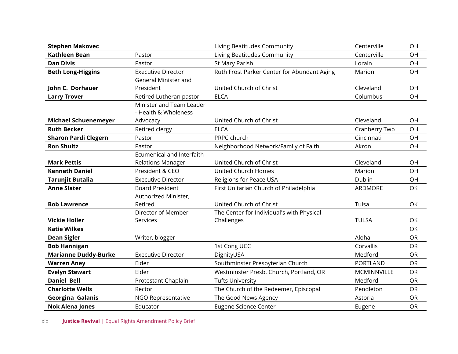| <b>Stephen Makovec</b>      |                                                  | Living Beatitudes Community                 | Centerville     | OH        |
|-----------------------------|--------------------------------------------------|---------------------------------------------|-----------------|-----------|
| <b>Kathleen Bean</b>        | Pastor                                           | Living Beatitudes Community                 | Centerville     | OH        |
| <b>Dan Divis</b>            | Pastor                                           | St Mary Parish                              | Lorain          | OH        |
| <b>Beth Long-Higgins</b>    | <b>Executive Director</b>                        | Ruth Frost Parker Center for Abundant Aging | Marion          | OH        |
|                             | General Minister and                             |                                             |                 |           |
| John C. Dorhauer            | President                                        | United Church of Christ                     | Cleveland       | OH        |
| <b>Larry Trover</b>         | Retired Lutheran pastor                          | <b>ELCA</b>                                 | Columbus        | OH        |
|                             | Minister and Team Leader<br>- Health & Wholeness |                                             |                 |           |
| <b>Michael Schuenemeyer</b> | Advocacy                                         | United Church of Christ                     | Cleveland       | OH        |
| <b>Ruth Becker</b>          | Retired clergy                                   | <b>ELCA</b>                                 | Cranberry Twp   | <b>OH</b> |
| <b>Sharon Pardi Clegern</b> | Pastor                                           | PRPC church                                 | Cincinnati      | OH        |
| <b>Ron Shultz</b>           | Pastor                                           | Neighborhood Network/Family of Faith        | Akron           | OH        |
|                             | <b>Ecumenical and Interfaith</b>                 |                                             |                 |           |
| <b>Mark Pettis</b>          | <b>Relations Manager</b>                         | United Church of Christ                     | Cleveland       | OH        |
| <b>Kenneth Daniel</b>       | President & CEO                                  | United Church Homes                         | Marion          | OH        |
| <b>Tarunjit Butalia</b>     | <b>Executive Director</b>                        | Religions for Peace USA                     | Dublin          | OH        |
| <b>Anne Slater</b>          | <b>Board President</b>                           | First Unitarian Church of Philadelphia      | <b>ARDMORE</b>  | OK        |
|                             | Authorized Minister,                             |                                             |                 |           |
| <b>Bob Lawrence</b>         | Retired                                          | United Church of Christ                     | Tulsa           | OK        |
|                             | Director of Member                               | The Center for Individual's with Physical   |                 |           |
| <b>Vickie Holler</b>        | Services                                         | Challenges                                  | <b>TULSA</b>    | OK        |
| <b>Katie Wilkes</b>         |                                                  |                                             |                 | OK        |
| <b>Dean Sigler</b>          | Writer, blogger                                  |                                             | Aloha           | OR        |
| <b>Bob Hannigan</b>         |                                                  | 1st Cong UCC                                | Corvallis       | <b>OR</b> |
| <b>Marianne Duddy-Burke</b> | <b>Executive Director</b>                        | DignityUSA                                  | Medford         | <b>OR</b> |
| <b>Warren Aney</b>          | Elder                                            | Southminster Presbyterian Church            | <b>PORTLAND</b> | <b>OR</b> |
| <b>Evelyn Stewart</b>       | Elder                                            | Westminster Presb. Church, Portland, OR     | MCMINNVILLE     | <b>OR</b> |
| <b>Daniel Bell</b>          | Protestant Chaplain                              | <b>Tufts University</b>                     | Medford         | <b>OR</b> |
| <b>Charlotte Wells</b>      | Rector                                           | The Church of the Redeemer, Episcopal       | Pendleton       | <b>OR</b> |
| Georgina Galanis            | NGO Representative                               | The Good News Agency                        | Astoria         | OR        |
| <b>Nok Alena Jones</b>      | Educator                                         | Eugene Science Center                       | Eugene          | <b>OR</b> |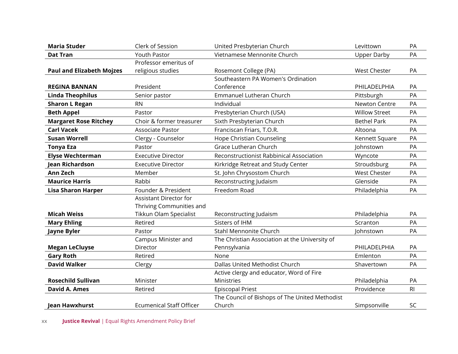| <b>Maria Studer</b>              | Clerk of Session                | United Presbyterian Church                     | Levittown            | PA             |
|----------------------------------|---------------------------------|------------------------------------------------|----------------------|----------------|
| <b>Dat Tran</b>                  | <b>Youth Pastor</b>             | Vietnamese Mennonite Church                    | <b>Upper Darby</b>   | PA             |
|                                  | Professor emeritus of           |                                                |                      |                |
| <b>Paul and Elizabeth Mojzes</b> | religious studies               | Rosemont College (PA)                          | <b>West Chester</b>  | PA             |
|                                  |                                 | Southeastern PA Women's Ordination             |                      |                |
| <b>REGINA BANNAN</b>             | President                       | Conference                                     | PHILADELPHIA         | PA             |
| <b>Linda Theophilus</b>          | Senior pastor                   | Emmanuel Lutheran Church                       | Pittsburgh           | PA             |
| <b>Sharon L Regan</b>            | <b>RN</b>                       | Individual                                     | Newton Centre        | PA             |
| <b>Beth Appel</b>                | Pastor                          | Presbyterian Church (USA)                      | <b>Willow Street</b> | PA             |
| <b>Margaret Rose Ritchey</b>     | Choir & former treasurer        | Sixth Presbyterian Church                      | <b>Bethel Park</b>   | PA             |
| <b>Carl Vacek</b>                | Associate Pastor                | Franciscan Friars, T.O.R.                      | Altoona              | PA             |
| <b>Susan Worrell</b>             | Clergy - Counselor              | Hope Christian Counseling                      | Kennett Square       | PA             |
| <b>Tonya Eza</b>                 | Pastor                          | Grace Lutheran Church                          | Johnstown            | PA             |
| <b>Elyse Wechterman</b>          | <b>Executive Director</b>       | Reconstructionist Rabbinical Association       | Wyncote              | PA             |
| Jean Richardson                  | <b>Executive Director</b>       | Kirkridge Retreat and Study Center             | Stroudsburg          | PA             |
| <b>Ann Zech</b>                  | Member                          | St. John Chrysostom Church                     | <b>West Chester</b>  | PA             |
| <b>Maurice Harris</b>            | Rabbi                           | Reconstructing Judaism                         | Glenside             | PA             |
| <b>Lisa Sharon Harper</b>        | Founder & President             | Freedom Road                                   | Philadelphia         | PA             |
|                                  | <b>Assistant Director for</b>   |                                                |                      |                |
|                                  | Thriving Communities and        |                                                |                      |                |
| <b>Micah Weiss</b>               | Tikkun Olam Specialist          | Reconstructing Judaism                         | Philadelphia         | PA             |
| <b>Mary Ehling</b>               | Retired                         | Sisters of IHM                                 | Scranton             | PA             |
| Jayne Byler                      | Pastor                          | Stahl Mennonite Church                         | Johnstown            | PA             |
|                                  | Campus Minister and             | The Christian Association at the University of |                      |                |
| <b>Megan LeCluyse</b>            | Director                        | Pennsylvania                                   | PHILADELPHIA         | PA             |
| <b>Gary Roth</b>                 | Retired                         | None                                           | Emlenton             | PA             |
| <b>David Walker</b>              | Clergy                          | Dallas United Methodist Church                 | Shavertown           | PA             |
|                                  |                                 | Active clergy and educator, Word of Fire       |                      |                |
| <b>Rosechild Sullivan</b>        | Minister                        | Ministries                                     | Philadelphia         | PA             |
| <b>David A. Ames</b>             | Retired                         | <b>Episcopal Priest</b>                        | Providence           | R <sub>l</sub> |
|                                  |                                 | The Council of Bishops of The United Methodist |                      |                |
| Jean Hawxhurst                   | <b>Ecumenical Staff Officer</b> | Church                                         | Simpsonville         | SC             |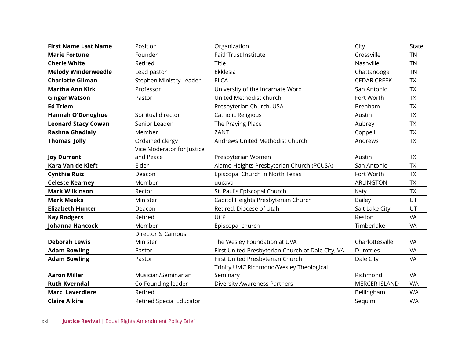| <b>First Name Last Name</b> | Position                        | Organization                                      | City                 | <b>State</b> |
|-----------------------------|---------------------------------|---------------------------------------------------|----------------------|--------------|
| <b>Marie Fortune</b>        | Founder                         | FaithTrust Institute                              | Crossville           | <b>TN</b>    |
| <b>Cherie White</b>         | Retired                         | Title                                             | Nashville            | <b>TN</b>    |
| <b>Melody Winderweedle</b>  | Lead pastor                     | Ekklesia                                          | Chattanooga          | <b>TN</b>    |
| <b>Charlotte Gilman</b>     | Stephen Ministry Leader         | <b>ELCA</b>                                       | <b>CEDAR CREEK</b>   | <b>TX</b>    |
| <b>Martha Ann Kirk</b>      | Professor                       | University of the Incarnate Word                  | San Antonio          | <b>TX</b>    |
| <b>Ginger Watson</b>        | Pastor                          | United Methodist church                           | Fort Worth           | <b>TX</b>    |
| <b>Ed Triem</b>             |                                 | Presbyterian Church, USA                          | Brenham              | <b>TX</b>    |
| <b>Hannah O'Donoghue</b>    | Spiritual director              | Catholic Religious                                | Austin               | <b>TX</b>    |
| <b>Leonard Stacy Cowan</b>  | Senior Leader                   | The Praying Place                                 | Aubrey               | <b>TX</b>    |
| <b>Rashna Ghadialy</b>      | Member                          | ZANT                                              | Coppell              | <b>TX</b>    |
| <b>Thomas Jolly</b>         | Ordained clergy                 | Andrews United Methodist Church                   | Andrews              | <b>TX</b>    |
|                             | Vice Moderator for Justice      |                                                   |                      |              |
| <b>Joy Durrant</b>          | and Peace                       | Presbyterian Women                                | Austin               | <b>TX</b>    |
| Kara Van de Kieft           | Elder                           | Alamo Heights Presbyterian Church (PCUSA)         | San Antonio          | <b>TX</b>    |
| <b>Cynthia Ruiz</b>         | Deacon                          | Episcopal Church in North Texas                   | Fort Worth           | <b>TX</b>    |
| <b>Celeste Kearney</b>      | Member                          | uucava                                            | <b>ARLINGTON</b>     | <b>TX</b>    |
| <b>Mark Wilkinson</b>       | Rector                          | St. Paul's Episcopal Church                       | Katy                 | <b>TX</b>    |
| <b>Mark Meeks</b>           | Minister                        | Capitol Heights Presbyterian Church               | <b>Bailey</b>        | UT           |
| <b>Elizabeth Hunter</b>     | Deacon                          | Retired, Diocese of Utah                          | Salt Lake City       | UT           |
| <b>Kay Rodgers</b>          | Retired                         | <b>UCP</b>                                        | Reston               | VA           |
| Johanna Hancock             | Member                          | Episcopal church                                  | Timberlake           | VA           |
|                             | Director & Campus               |                                                   |                      |              |
| <b>Deborah Lewis</b>        | Minister                        | The Wesley Foundation at UVA                      | Charlottesville      | VA           |
| <b>Adam Bowling</b>         | Pastor                          | First United Presbyterian Church of Dale City, VA | Dumfries             | VA           |
| <b>Adam Bowling</b>         | Pastor                          | First United Presbyterian Church                  | Dale City            | VA           |
|                             |                                 | Trinity UMC Richmond/Wesley Theological           |                      |              |
| <b>Aaron Miller</b>         | Musician/Seminarian             | Seminary                                          | Richmond             | VA           |
| <b>Ruth Kverndal</b>        | Co-Founding leader              | <b>Diversity Awareness Partners</b>               | <b>MERCER ISLAND</b> | <b>WA</b>    |
| <b>Marc Laverdiere</b>      | Retired                         |                                                   | Bellingham           | <b>WA</b>    |
| <b>Claire Alkire</b>        | <b>Retired Special Educator</b> |                                                   | Sequim               | <b>WA</b>    |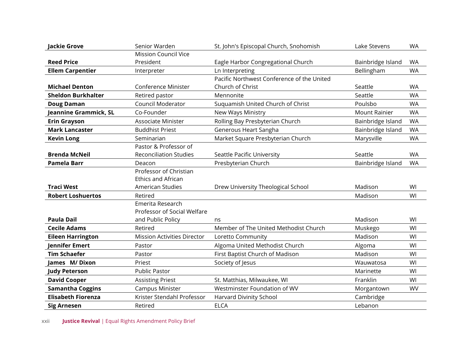| <b>Jackie Grove</b>       | Senior Warden                      | St. John's Episcopal Church, Snohomish     | Lake Stevens         | <b>WA</b> |
|---------------------------|------------------------------------|--------------------------------------------|----------------------|-----------|
|                           | <b>Mission Council Vice</b>        |                                            |                      |           |
| <b>Reed Price</b>         | President                          | Eagle Harbor Congregational Church         | Bainbridge Island    | <b>WA</b> |
| <b>Ellem Carpentier</b>   | Interpreter                        | Ln Interpreting                            | Bellingham           | <b>WA</b> |
|                           |                                    | Pacific Northwest Conference of the United |                      |           |
| <b>Michael Denton</b>     | Conference Minister                | Church of Christ                           | Seattle              | <b>WA</b> |
| <b>Sheldon Burkhalter</b> | Retired pastor                     | Mennonite                                  | Seattle              | <b>WA</b> |
| <b>Doug Daman</b>         | <b>Council Moderator</b>           | Suquamish United Church of Christ          | Poulsbo              | <b>WA</b> |
| Jeannine Grammick, SL     | Co-Founder                         | New Ways Ministry                          | <b>Mount Rainier</b> | <b>WA</b> |
| <b>Erin Grayson</b>       | <b>Associate Minister</b>          | Rolling Bay Presbyterian Church            | Bainbridge Island    | <b>WA</b> |
| <b>Mark Lancaster</b>     | <b>Buddhist Priest</b>             | Generous Heart Sangha                      | Bainbridge Island    | <b>WA</b> |
| <b>Kevin Long</b>         | Seminarian                         | Market Square Presbyterian Church          | Marysville           | <b>WA</b> |
|                           | Pastor & Professor of              |                                            |                      |           |
| <b>Brenda McNeil</b>      | <b>Reconciliation Studies</b>      | Seattle Pacific University                 | Seattle              | <b>WA</b> |
| <b>Pamela Barr</b>        | Deacon                             | Presbyterian Church                        | Bainbridge Island    | <b>WA</b> |
|                           | Professor of Christian             |                                            |                      |           |
|                           | <b>Ethics and African</b>          |                                            |                      |           |
| <b>Traci West</b>         | American Studies                   | Drew University Theological School         | Madison              | WI        |
| <b>Robert Loshuertos</b>  | Retired                            |                                            | Madison              | WI        |
|                           | Emerita Research                   |                                            |                      |           |
|                           | Professor of Social Welfare        |                                            |                      |           |
| <b>Paula Dail</b>         | and Public Policy                  | ns                                         | Madison              | WI        |
| <b>Cecile Adams</b>       | Retired                            | Member of The United Methodist Church      | Muskego              | WI        |
| <b>Eileen Harrington</b>  | <b>Mission Activities Director</b> | Loretto Community                          | Madison              | WI        |
| <b>Jennifer Emert</b>     | Pastor                             | Algoma United Methodist Church             | Algoma               | WI        |
| <b>Tim Schaefer</b>       | Pastor                             | First Baptist Church of Madison            | Madison              | WI        |
| James M/Dixon             | Priest                             | Society of Jesus                           | Wauwatosa            | WI        |
| <b>Judy Peterson</b>      | Public Pastor                      |                                            | Marinette            | WI        |
| <b>David Cooper</b>       | <b>Assisting Priest</b>            | St. Matthias, Milwaukee, WI                | Franklin             | WI        |
| <b>Samantha Coggins</b>   | <b>Campus Minister</b>             | Westminster Foundation of WV               | Morgantown           | <b>WV</b> |
| <b>Elisabeth Fiorenza</b> | Krister Stendahl Professor         | Harvard Divinity School                    | Cambridge            |           |
| <b>Sig Arnesen</b>        | Retired                            | <b>ELCA</b>                                | Lebanon              |           |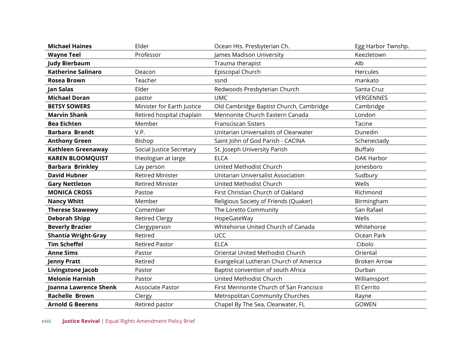| <b>Michael Haines</b>      | Elder                      | Ocean Hts. Presbyterian Ch.             | Egg Harbor Twnshp.  |
|----------------------------|----------------------------|-----------------------------------------|---------------------|
| <b>Wayne Teel</b>          | Professor                  | James Madison University                | Keezletown          |
| <b>Judy Bierbaum</b>       |                            | Trauma therapist                        | Alb                 |
| <b>Katherine Salinaro</b>  | Deacon                     | Episcopal Church                        | Hercules            |
| <b>Rosea Brown</b>         | Teacher                    | ssnd                                    | mankato             |
| Jan Salas                  | Elder                      | Redwoods Presbyterian Church            | Santa Cruz          |
| <b>Michael Doran</b>       | pastor                     | <b>UMC</b>                              | VERGENNES           |
| <b>BETSY SOWERS</b>        | Minister for Earth Justice | Old Cambridge Baptist Church, Cambridge | Cambridge           |
| <b>Marvin Shank</b>        | Retired hospital chaplain  | Mennonite Church Eastern Canada         | London              |
| <b>Bea Eichten</b>         | Member                     | <b>Fransciscan Sisters</b>              | Tacine              |
| <b>Barbara Brandt</b>      | V.P.                       | Unitarian Universalists of Clearwater   | Dunedin             |
| <b>Anthony Green</b>       | Bishop                     | Saint John of God Parish - CACINA       | Schenectady         |
| Kathleen Greenaway         | Social Justice Secretary   | St. Joseph University Parish            | <b>Buffalo</b>      |
| <b>KAREN BLOOMQUIST</b>    | theologian at large        | <b>ELCA</b>                             | OAK Harbor          |
| <b>Barbara Brinkley</b>    | Lay person                 | United Methodist Church                 | lonesboro           |
| <b>David Hubner</b>        | <b>Retired Minister</b>    | Unitarian Universalist Association      | Sudbury             |
| <b>Gary Nettleton</b>      | <b>Retired Minister</b>    | United Methodist Church                 | Wells               |
| <b>MONICA CROSS</b>        | Pastoe                     | First Christian Church of Oakland       | Richmond            |
| <b>Nancy Whitt</b>         | Member                     | Religious Society of Friends (Quaker)   | Birmingham          |
| <b>Therese Stawowy</b>     | Comember                   | The Loretto Community                   | San Rafael          |
| <b>Deborah Shipp</b>       | <b>Retired Clergy</b>      | HopeGateWay                             | Wells               |
| <b>Beverly Brazier</b>     | Clergyperson               | Whitehorse United Church of Canada      | Whitehorse          |
| <b>Shantia Wright-Gray</b> | Retired                    | <b>UCC</b>                              | Ocean Park          |
| <b>Tim Scheffel</b>        | <b>Retired Pastor</b>      | <b>ELCA</b>                             | Cibolo              |
| <b>Anne Sims</b>           | Pastor                     | Oriental United Methodist Church        | Oriental            |
| <b>Jenny Pratt</b>         | Retired                    | Evangelical Lutheran Church of America  | <b>Broken Arrow</b> |
| <b>Livingstone Jacob</b>   | Pastor                     | Baptist convention of south Africa      | Durban              |
| <b>Melonie Harnish</b>     | Pastor                     | United Methodist Church                 | Williamsport        |
| Joanna Lawrence Shenk      | Associate Pastor           | First Mennonite Church of San Francisco | El Cerrito          |
| <b>Rachelle Brown</b>      | Clergy                     | Metropolitan Community Churches         | Rayne               |
| <b>Arnold G Beerens</b>    | Retired pastor             | Chapel By The Sea, Clearwater, FL       | <b>GOWEN</b>        |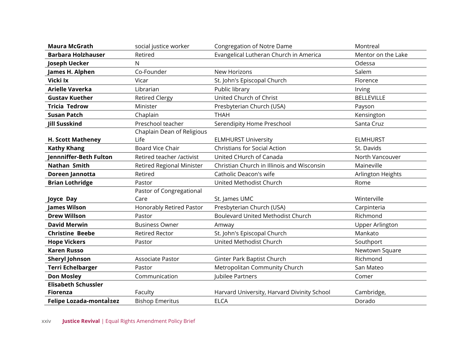| <b>Maura McGrath</b>       | social justice worker            | <b>Congregation of Notre Dame</b>           | Montreal               |
|----------------------------|----------------------------------|---------------------------------------------|------------------------|
| <b>Barbara Holzhauser</b>  | Retired                          | Evangelical Lutheran Church in America      | Mentor on the Lake     |
| Joseph Uecker              | N                                |                                             | Odessa                 |
| James H. Alphen            | Co-Founder                       | <b>New Horizons</b>                         | Salem                  |
| Vicki Ix                   | Vicar                            | St. John's Episcopal Church                 | Florence               |
| <b>Arielle Vaverka</b>     | Librarian                        | Public library                              | Irving                 |
| <b>Gustav Kuether</b>      | <b>Retired Clergy</b>            | United Church of Christ                     | <b>BELLEVILLE</b>      |
| <b>Tricia Tedrow</b>       | Minister                         | Presbyterian Church (USA)                   | Payson                 |
| <b>Susan Patch</b>         | Chaplain                         | <b>THAH</b>                                 | Kensington             |
| <b>Jill Susskind</b>       | Preschool teacher                | Serendipity Home Preschool                  | Santa Cruz             |
|                            | Chaplain Dean of Religious       |                                             |                        |
| <b>H. Scott Matheney</b>   | Life                             | <b>ELMHURST University</b>                  | <b>ELMHURST</b>        |
| <b>Kathy Khang</b>         | <b>Board Vice Chair</b>          | <b>Christians for Social Action</b>         | St. Davids             |
| Jennniffer-Beth Fulton     | Retired teacher /activist        | United CHurch of Canada                     | North Vancouver        |
| <b>Nathan Smith</b>        | <b>Retired Regional Minister</b> | Christian Church in Illinois and Wisconsin  | Maineville             |
| Doreen Jannotta            | Retired                          | Catholic Deacon's wife                      | Arlington Heights      |
| <b>Brian Lothridge</b>     | Pastor                           | United Methodist Church                     | Rome                   |
|                            | Pastor of Congregational         |                                             |                        |
| Joyce Day                  | Care                             | St. James UMC                               | Winterville            |
| <b>James Wilson</b>        | Honorably Retired Pastor         | Presbyterian Church (USA)                   | Carpinteria            |
| <b>Drew Willson</b>        | Pastor                           | <b>Boulevard United Methodist Church</b>    | Richmond               |
| <b>David Merwin</b>        | <b>Business Owner</b>            | Amway                                       | <b>Upper Arlington</b> |
| <b>Christine Beebe</b>     | <b>Retired Rector</b>            | St. John's Episcopal Church                 | Mankato                |
| <b>Hope Vickers</b>        | Pastor                           | United Methodist Church                     | Southport              |
| <b>Karen Russo</b>         |                                  |                                             | Newtown Square         |
| <b>Sheryl Johnson</b>      | Associate Pastor                 | Ginter Park Baptist Church                  | Richmond               |
| <b>Terri Echelbarger</b>   | Pastor                           | Metropolitan Community Church               | San Mateo              |
| <b>Don Mosley</b>          | Communication                    | Jubilee Partners                            | Comer                  |
| <b>Elisabeth Schussler</b> |                                  |                                             |                        |
| Fiorenza                   | Faculty                          | Harvard University, Harvard Divinity School | Cambridge,             |
| Felipe Lozada-montal+ez    | <b>Bishop Emeritus</b>           | <b>ELCA</b>                                 | Dorado                 |